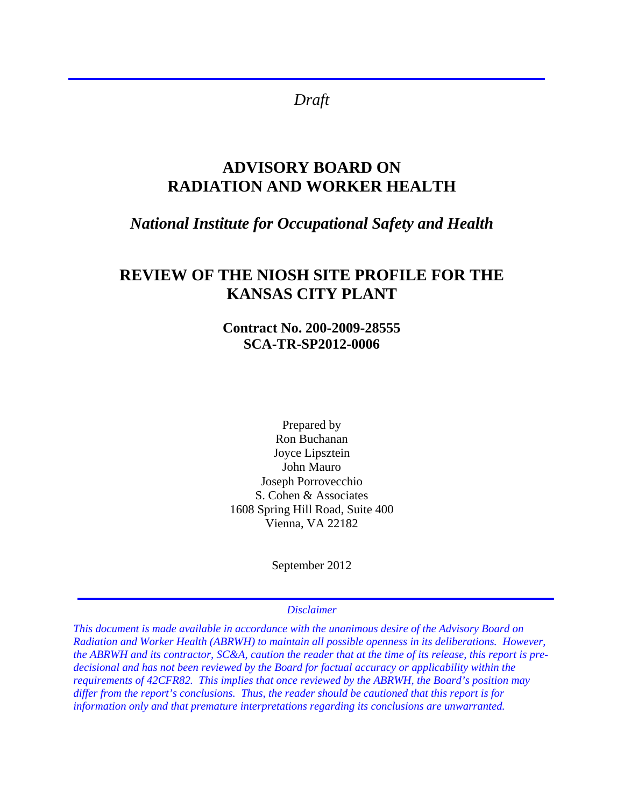*Draft* 

# **ADVISORY BOARD ON RADIATION AND WORKER HEALTH**

## *National Institute for Occupational Safety and Health*

# **REVIEW OF THE NIOSH SITE PROFILE FOR THE KANSAS CITY PLANT**

**Contract No. 200-2009-28555 SCA-TR-SP2012-0006** 

Prepared by Ron Buchanan Joyce Lipsztein John Mauro Joseph Porrovecchio S. Cohen & Associates 1608 Spring Hill Road, Suite 400 Vienna, VA 22182

September 2012

*Disclaimer* 

*This document is made available in accordance with the unanimous desire of the Advisory Board on Radiation and Worker Health (ABRWH) to maintain all possible openness in its deliberations. However, the ABRWH and its contractor, SC&A, caution the reader that at the time of its release, this report is predecisional and has not been reviewed by the Board for factual accuracy or applicability within the requirements of 42CFR82. This implies that once reviewed by the ABRWH, the Board's position may differ from the report's conclusions. Thus, the reader should be cautioned that this report is for information only and that premature interpretations regarding its conclusions are unwarranted.*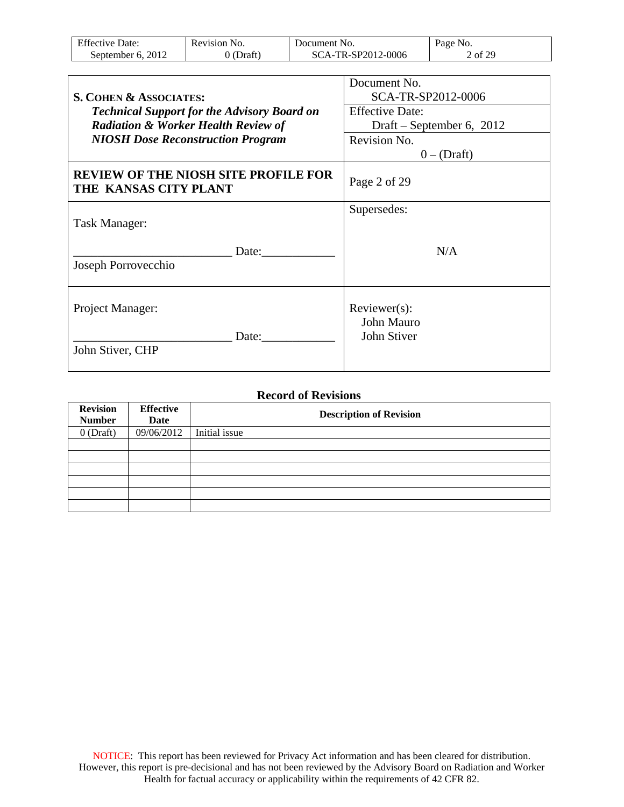| <b>Effective Date:</b> | Revision No. | Document No.       | Page No.       |
|------------------------|--------------|--------------------|----------------|
| September 6, 2012      | (Draft)      | SCA-TR-SP2012-0006 | $\angle$ of 29 |

| <b>S. COHEN &amp; ASSOCIATES:</b>                                    | Document No.<br>SCA-TR-SP2012-0006 |
|----------------------------------------------------------------------|------------------------------------|
| <b>Technical Support for the Advisory Board on</b>                   | <b>Effective Date:</b>             |
| <b>Radiation &amp; Worker Health Review of</b>                       | Draft – September 6, 2012          |
| <b>NIOSH Dose Reconstruction Program</b>                             | Revision No.                       |
|                                                                      | $0 - (Draff)$                      |
| <b>REVIEW OF THE NIOSH SITE PROFILE FOR</b><br>THE KANSAS CITY PLANT | Page 2 of 29                       |
|                                                                      | Supersedes:                        |
| Task Manager:                                                        |                                    |
| Date:<br>Joseph Porrovecchio                                         | N/A                                |
| Project Manager:                                                     | $Reviewer(s)$ :<br>John Mauro      |
| Date:<br>John Stiver, CHP                                            | John Stiver                        |

#### **Record of Revisions**

| <b>Revision</b><br><b>Number</b> | <b>Effective</b><br>Date | <b>Description of Revision</b> |
|----------------------------------|--------------------------|--------------------------------|
| $0$ (Draft)                      | 09/06/2012               | Initial issue                  |
|                                  |                          |                                |
|                                  |                          |                                |
|                                  |                          |                                |
|                                  |                          |                                |
|                                  |                          |                                |
|                                  |                          |                                |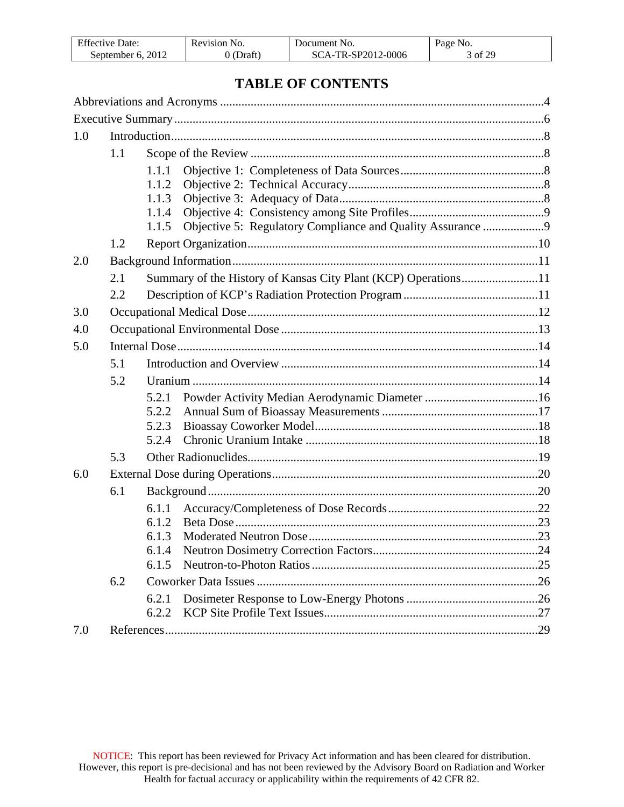| <b>Effective Date:</b> | Revision No. | Document No.       | Page No. |
|------------------------|--------------|--------------------|----------|
| September 6, 2012      | $0$ (Draft)  | SCA-TR-SP2012-0006 | 3 of 29  |

## **TABLE OF CONTENTS**

| 1.0 |     |                                                                              |  |
|-----|-----|------------------------------------------------------------------------------|--|
|     | 1.1 |                                                                              |  |
|     |     | 1.1.1<br>1.1.2<br>1.1.3                                                      |  |
|     |     | 1.1.4<br>Objective 5: Regulatory Compliance and Quality Assurance 9<br>1.1.5 |  |
|     | 1.2 |                                                                              |  |
| 2.0 |     |                                                                              |  |
|     | 2.1 | Summary of the History of Kansas City Plant (KCP) Operations11               |  |
|     | 2.2 |                                                                              |  |
| 3.0 |     |                                                                              |  |
| 4.0 |     |                                                                              |  |
| 5.0 |     |                                                                              |  |
|     | 5.1 |                                                                              |  |
|     | 5.2 |                                                                              |  |
|     |     | 5.2.1<br>5.2.2                                                               |  |
|     |     | 5.2.3<br>5.2.4                                                               |  |
|     | 5.3 |                                                                              |  |
| 6.0 |     |                                                                              |  |
|     | 6.1 |                                                                              |  |
|     |     | 6.1.1<br>6.1.2                                                               |  |
|     |     | 6.1.3<br>6.1.5                                                               |  |
|     | 6.2 |                                                                              |  |
|     |     | 6.2.1<br>6.2.2                                                               |  |
| 7.0 |     |                                                                              |  |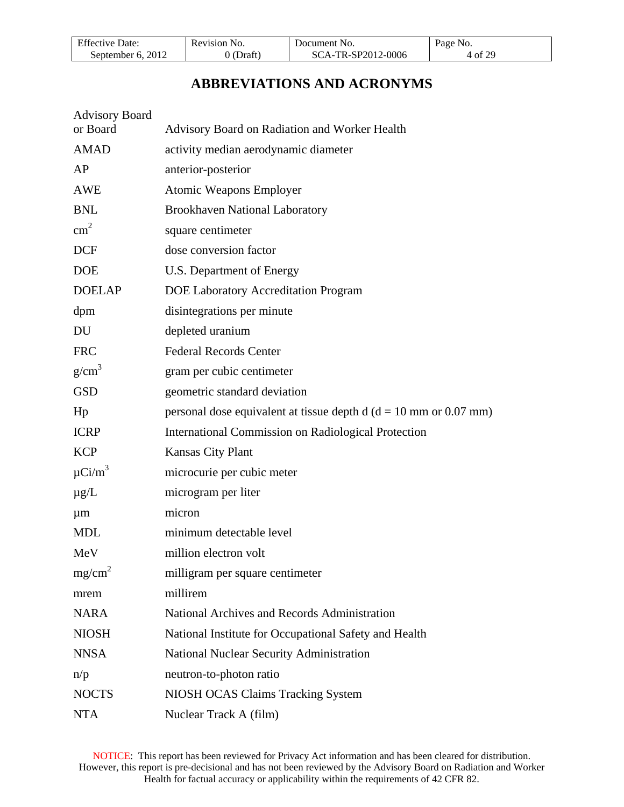| <b>Effective Date:</b> | Revision No. | Document No.       | Page No. |
|------------------------|--------------|--------------------|----------|
| September 6, 2012      | $0$ (Draft)  | SCA-TR-SP2012-0006 | 4 of 29  |

## **ABBREVIATIONS AND ACRONYMS**

<span id="page-3-0"></span>

| <b>Advisory Board</b><br>or Board | Advisory Board on Radiation and Worker Health                       |
|-----------------------------------|---------------------------------------------------------------------|
| <b>AMAD</b>                       | activity median aerodynamic diameter                                |
| AP                                | anterior-posterior                                                  |
|                                   |                                                                     |
| AWE                               | <b>Atomic Weapons Employer</b>                                      |
| <b>BNL</b>                        | <b>Brookhaven National Laboratory</b>                               |
| $\text{cm}^2$                     | square centimeter                                                   |
| <b>DCF</b>                        | dose conversion factor                                              |
| <b>DOE</b>                        | U.S. Department of Energy                                           |
| <b>DOELAP</b>                     | <b>DOE Laboratory Accreditation Program</b>                         |
| dpm                               | disintegrations per minute                                          |
| DU                                | depleted uranium                                                    |
| <b>FRC</b>                        | <b>Federal Records Center</b>                                       |
| g/cm <sup>3</sup>                 | gram per cubic centimeter                                           |
| <b>GSD</b>                        | geometric standard deviation                                        |
| Hp                                | personal dose equivalent at tissue depth $d (d = 10$ mm or 0.07 mm) |
| <b>ICRP</b>                       | International Commission on Radiological Protection                 |
| <b>KCP</b>                        | <b>Kansas City Plant</b>                                            |
| $\mu$ Ci/m <sup>3</sup>           | microcurie per cubic meter                                          |
| $\mu$ g/L                         | microgram per liter                                                 |
| $\mu$ m                           | micron                                                              |
| <b>MDL</b>                        | minimum detectable level                                            |
| MeV                               | million electron volt                                               |
| mg/cm <sup>2</sup>                | milligram per square centimeter                                     |
| mrem                              | millirem                                                            |
| <b>NARA</b>                       | National Archives and Records Administration                        |
| <b>NIOSH</b>                      | National Institute for Occupational Safety and Health               |
| <b>NNSA</b>                       | <b>National Nuclear Security Administration</b>                     |
| n/p                               | neutron-to-photon ratio                                             |
| <b>NOCTS</b>                      | NIOSH OCAS Claims Tracking System                                   |
| <b>NTA</b>                        | Nuclear Track A (film)                                              |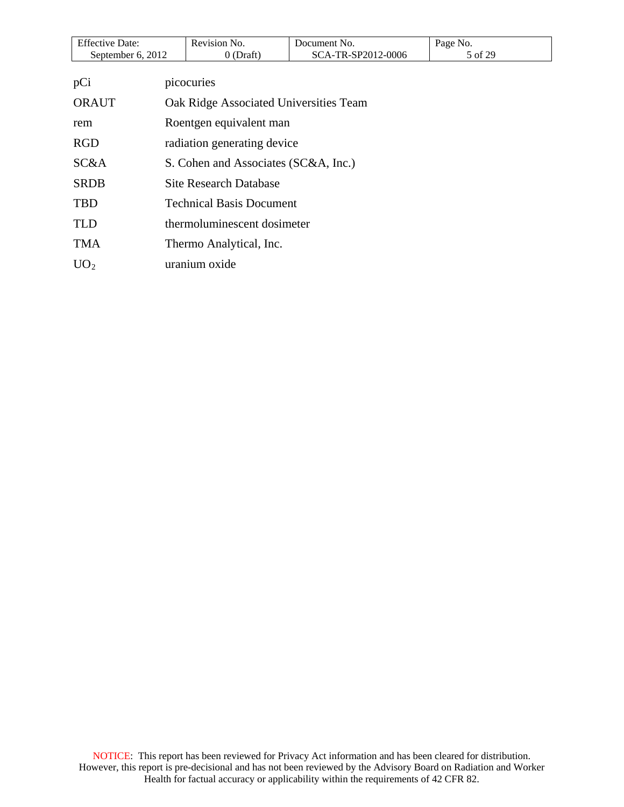| <b>Effective Date:</b> |                                      | Revision No.                           | Document No.       | Page No. |
|------------------------|--------------------------------------|----------------------------------------|--------------------|----------|
| September 6, 2012      |                                      | $0$ (Draft)                            | SCA-TR-SP2012-0006 | 5 of 29  |
|                        |                                      |                                        |                    |          |
| pCi                    |                                      | picocuries                             |                    |          |
| <b>ORAUT</b>           |                                      | Oak Ridge Associated Universities Team |                    |          |
| rem                    |                                      | Roentgen equivalent man                |                    |          |
| <b>RGD</b>             | radiation generating device          |                                        |                    |          |
| SC&A                   | S. Cohen and Associates (SC&A, Inc.) |                                        |                    |          |
| <b>SRDB</b>            | <b>Site Research Database</b>        |                                        |                    |          |
| <b>TBD</b>             | <b>Technical Basis Document</b>      |                                        |                    |          |
| <b>TLD</b>             | thermoluminescent dosimeter          |                                        |                    |          |
| <b>TMA</b>             |                                      | Thermo Analytical, Inc.                |                    |          |
| UO <sub>2</sub>        |                                      | uranium oxide                          |                    |          |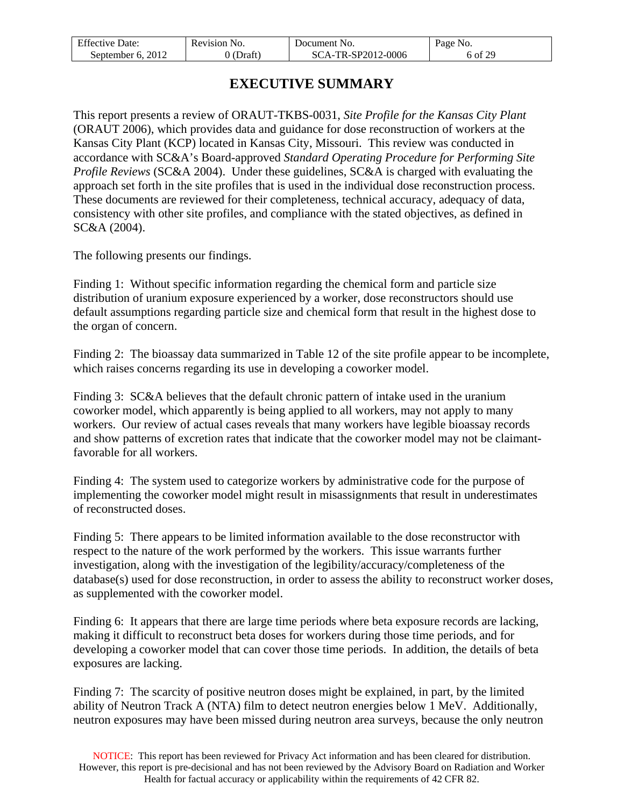| <b>Effective Date:</b> | Revision No. | Document No.       | Page No. |
|------------------------|--------------|--------------------|----------|
| September 6, 2012      | (Draft)      | SCA-TR-SP2012-0006 | 6 of 29  |

## **EXECUTIVE SUMMARY**

<span id="page-5-0"></span>This report presents a review of ORAUT-TKBS-0031, *Site Profile for the Kansas City Plant* (ORAUT 2006), which provides data and guidance for dose reconstruction of workers at the Kansas City Plant (KCP) located in Kansas City, Missouri. This review was conducted in accordance with SC&A's Board-approved *Standard Operating Procedure for Performing Site Profile Reviews* (SC&A 2004). Under these guidelines, SC&A is charged with evaluating the approach set forth in the site profiles that is used in the individual dose reconstruction process. These documents are reviewed for their completeness, technical accuracy, adequacy of data, consistency with other site profiles, and compliance with the stated objectives, as defined in SC&A (2004).

The following presents our findings.

Finding 1: Without specific information regarding the chemical form and particle size distribution of uranium exposure experienced by a worker, dose reconstructors should use default assumptions regarding particle size and chemical form that result in the highest dose to the organ of concern.

Finding 2: The bioassay data summarized in Table 12 of the site profile appear to be incomplete, which raises concerns regarding its use in developing a coworker model.

Finding 3: SC&A believes that the default chronic pattern of intake used in the uranium coworker model, which apparently is being applied to all workers, may not apply to many workers. Our review of actual cases reveals that many workers have legible bioassay records and show patterns of excretion rates that indicate that the coworker model may not be claimantfavorable for all workers.

Finding 4: The system used to categorize workers by administrative code for the purpose of implementing the coworker model might result in misassignments that result in underestimates of reconstructed doses.

Finding 5: There appears to be limited information available to the dose reconstructor with respect to the nature of the work performed by the workers. This issue warrants further investigation, along with the investigation of the legibility/accuracy/completeness of the database(s) used for dose reconstruction, in order to assess the ability to reconstruct worker doses, as supplemented with the coworker model.

Finding 6: It appears that there are large time periods where beta exposure records are lacking, making it difficult to reconstruct beta doses for workers during those time periods, and for developing a coworker model that can cover those time periods. In addition, the details of beta exposures are lacking.

Finding 7: The scarcity of positive neutron doses might be explained, in part, by the limited ability of Neutron Track A (NTA) film to detect neutron energies below 1 MeV. Additionally, neutron exposures may have been missed during neutron area surveys, because the only neutron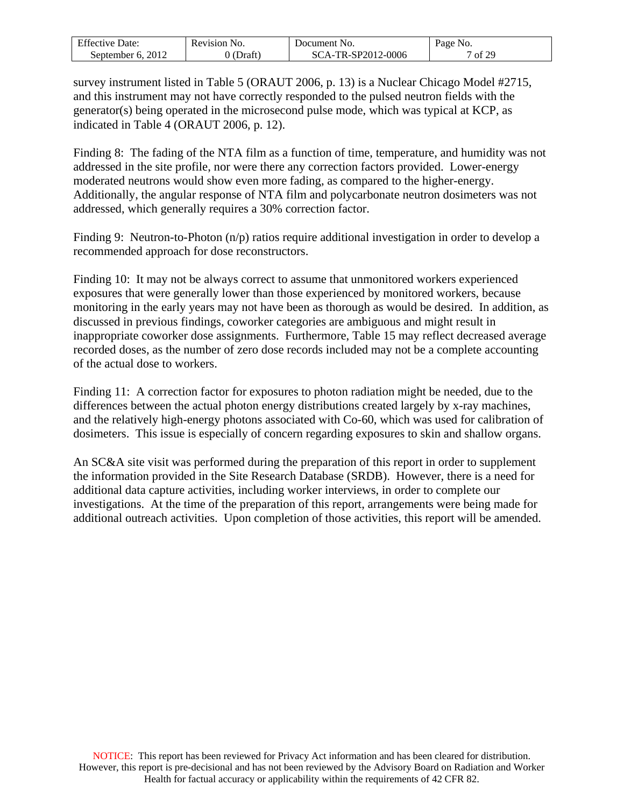| F C<br>Jate:<br>Effective | Revision<br>NO. | NO.<br>Jocument             | NO.<br>Page |
|---------------------------|-----------------|-----------------------------|-------------|
| 2012<br>september<br>h    | Jraft           | TR-SP2012-0006<br>80<br>'Δ. | of 29       |

survey instrument listed in Table 5 (ORAUT 2006, p. 13) is a Nuclear Chicago Model #2715, and this instrument may not have correctly responded to the pulsed neutron fields with the generator(s) being operated in the microsecond pulse mode, which was typical at KCP, as indicated in Table 4 (ORAUT 2006, p. 12).

Finding 8: The fading of the NTA film as a function of time, temperature, and humidity was not addressed in the site profile, nor were there any correction factors provided. Lower-energy moderated neutrons would show even more fading, as compared to the higher-energy. Additionally, the angular response of NTA film and polycarbonate neutron dosimeters was not addressed, which generally requires a 30% correction factor.

Finding 9: Neutron-to-Photon (n/p) ratios require additional investigation in order to develop a recommended approach for dose reconstructors.

Finding 10: It may not be always correct to assume that unmonitored workers experienced exposures that were generally lower than those experienced by monitored workers, because monitoring in the early years may not have been as thorough as would be desired. In addition, as discussed in previous findings, coworker categories are ambiguous and might result in inappropriate coworker dose assignments. Furthermore, Table 15 may reflect decreased average recorded doses, as the number of zero dose records included may not be a complete accounting of the actual dose to workers.

Finding 11: A correction factor for exposures to photon radiation might be needed, due to the differences between the actual photon energy distributions created largely by x-ray machines, and the relatively high-energy photons associated with Co-60, which was used for calibration of dosimeters. This issue is especially of concern regarding exposures to skin and shallow organs.

An SC&A site visit was performed during the preparation of this report in order to supplement the information provided in the Site Research Database (SRDB). However, there is a need for additional data capture activities, including worker interviews, in order to complete our investigations. At the time of the preparation of this report, arrangements were being made for additional outreach activities. Upon completion of those activities, this report will be amended.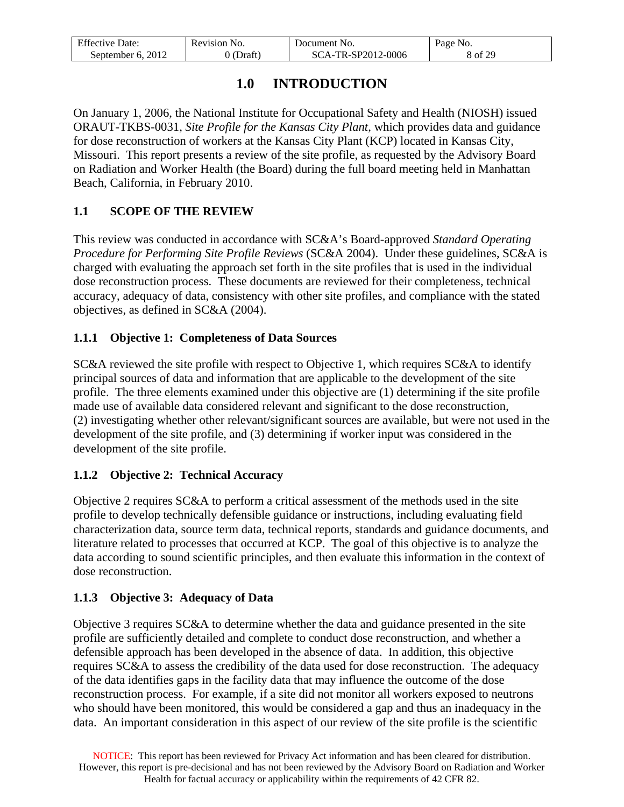| <b>Effective Date:</b> | Revision No. | Document No.       | Page No.     |
|------------------------|--------------|--------------------|--------------|
| September 6, 2012      | .) (Draft)   | SCA-TR-SP2012-0006 | f 29<br>8 of |

## **1.0 INTRODUCTION**

<span id="page-7-0"></span>On January 1, 2006, the National Institute for Occupational Safety and Health (NIOSH) issued ORAUT-TKBS-0031, *Site Profile for the Kansas City Plant*, which provides data and guidance for dose reconstruction of workers at the Kansas City Plant (KCP) located in Kansas City, Missouri. This report presents a review of the site profile, as requested by the Advisory Board on Radiation and Worker Health (the Board) during the full board meeting held in Manhattan Beach, California, in February 2010.

### <span id="page-7-1"></span>**1.1 SCOPE OF THE REVIEW**

This review was conducted in accordance with SC&A's Board-approved *Standard Operating Procedure for Performing Site Profile Reviews* (SC&A 2004). Under these guidelines, SC&A is charged with evaluating the approach set forth in the site profiles that is used in the individual dose reconstruction process. These documents are reviewed for their completeness, technical accuracy, adequacy of data, consistency with other site profiles, and compliance with the stated objectives, as defined in SC&A (2004).

### <span id="page-7-2"></span>**1.1.1 Objective 1: Completeness of Data Sources**

SC&A reviewed the site profile with respect to Objective 1, which requires SC&A to identify principal sources of data and information that are applicable to the development of the site profile. The three elements examined under this objective are (1) determining if the site profile made use of available data considered relevant and significant to the dose reconstruction, (2) investigating whether other relevant/significant sources are available, but were not used in the development of the site profile, and (3) determining if worker input was considered in the development of the site profile.

### <span id="page-7-3"></span>**1.1.2 Objective 2: Technical Accuracy**

Objective 2 requires SC&A to perform a critical assessment of the methods used in the site profile to develop technically defensible guidance or instructions, including evaluating field characterization data, source term data, technical reports, standards and guidance documents, and literature related to processes that occurred at KCP. The goal of this objective is to analyze the data according to sound scientific principles, and then evaluate this information in the context of dose reconstruction.

### <span id="page-7-4"></span>**1.1.3 Objective 3: Adequacy of Data**

Objective 3 requires SC&A to determine whether the data and guidance presented in the site profile are sufficiently detailed and complete to conduct dose reconstruction, and whether a defensible approach has been developed in the absence of data. In addition, this objective requires SC&A to assess the credibility of the data used for dose reconstruction. The adequacy of the data identifies gaps in the facility data that may influence the outcome of the dose reconstruction process. For example, if a site did not monitor all workers exposed to neutrons who should have been monitored, this would be considered a gap and thus an inadequacy in the data. An important consideration in this aspect of our review of the site profile is the scientific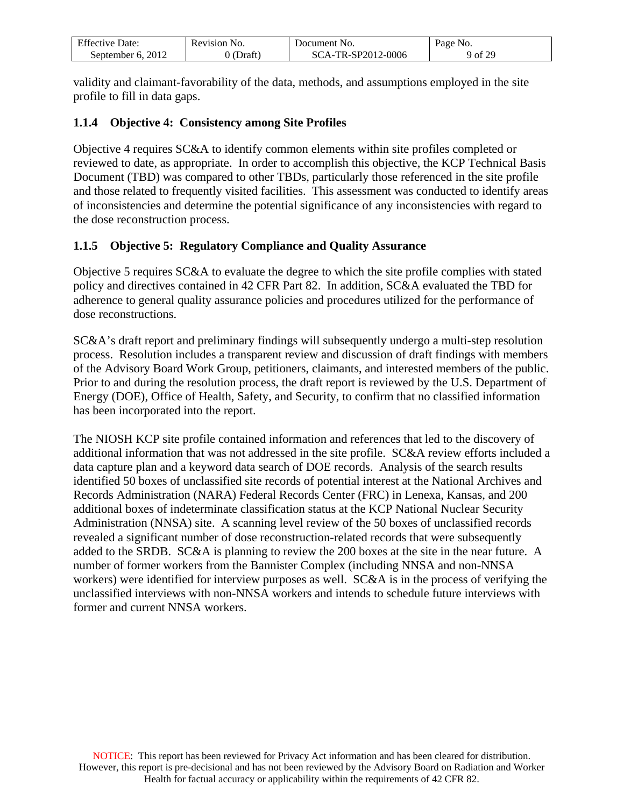| F C<br>Jate:<br><b>Effect.</b> | evision :<br>NO. | Jocument<br>NO.             | P <sub>20</sub> r<br>'NO. |
|--------------------------------|------------------|-----------------------------|---------------------------|
| 2012<br>sentember<br>n         | -Iratt           | 2-0006<br>22011<br>.NP<br>- | ۰ G<br>90t                |

validity and claimant-favorability of the data, methods, and assumptions employed in the site profile to fill in data gaps.

#### <span id="page-8-0"></span>**1.1.4 Objective 4: Consistency among Site Profiles**

Objective 4 requires SC&A to identify common elements within site profiles completed or reviewed to date, as appropriate. In order to accomplish this objective, the KCP Technical Basis Document (TBD) was compared to other TBDs, particularly those referenced in the site profile and those related to frequently visited facilities. This assessment was conducted to identify areas of inconsistencies and determine the potential significance of any inconsistencies with regard to the dose reconstruction process.

#### <span id="page-8-1"></span>**1.1.5 Objective 5: Regulatory Compliance and Quality Assurance**

Objective 5 requires SC&A to evaluate the degree to which the site profile complies with stated policy and directives contained in 42 CFR Part 82. In addition, SC&A evaluated the TBD for adherence to general quality assurance policies and procedures utilized for the performance of dose reconstructions.

SC&A's draft report and preliminary findings will subsequently undergo a multi-step resolution process. Resolution includes a transparent review and discussion of draft findings with members of the Advisory Board Work Group, petitioners, claimants, and interested members of the public. Prior to and during the resolution process, the draft report is reviewed by the U.S. Department of Energy (DOE), Office of Health, Safety, and Security, to confirm that no classified information has been incorporated into the report.

The NIOSH KCP site profile contained information and references that led to the discovery of additional information that was not addressed in the site profile. SC&A review efforts included a data capture plan and a keyword data search of DOE records. Analysis of the search results identified 50 boxes of unclassified site records of potential interest at the National Archives and Records Administration (NARA) Federal Records Center (FRC) in Lenexa, Kansas, and 200 additional boxes of indeterminate classification status at the KCP National Nuclear Security Administration (NNSA) site. A scanning level review of the 50 boxes of unclassified records revealed a significant number of dose reconstruction-related records that were subsequently added to the SRDB. SC&A is planning to review the 200 boxes at the site in the near future. A number of former workers from the Bannister Complex (including NNSA and non-NNSA workers) were identified for interview purposes as well. SC&A is in the process of verifying the unclassified interviews with non-NNSA workers and intends to schedule future interviews with former and current NNSA workers.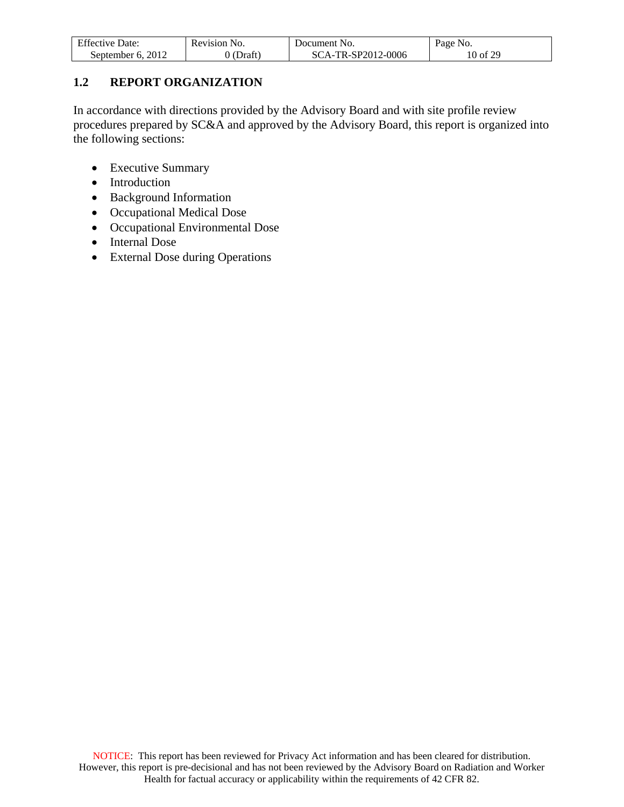| $E^{ac}$             | Revision       | NO.                               | Page                     |
|----------------------|----------------|-----------------------------------|--------------------------|
| Effective Date:      | N <sub>O</sub> | Jocument                          | N <sub>0</sub> .         |
| 2012<br>September 6. | Draft<br>U 1   | 2-0006<br>TR-SP2012-<br>86<br>`Δ_ | $f \Omega$<br>$10$ of 2. |

#### <span id="page-9-0"></span>**1.2 REPORT ORGANIZATION**

In accordance with directions provided by the Advisory Board and with site profile review procedures prepared by SC&A and approved by the Advisory Board, this report is organized into the following sections:

- Executive Summary
- Introduction
- Background Information
- Occupational Medical Dose
- Occupational Environmental Dose
- Internal Dose
- External Dose during Operations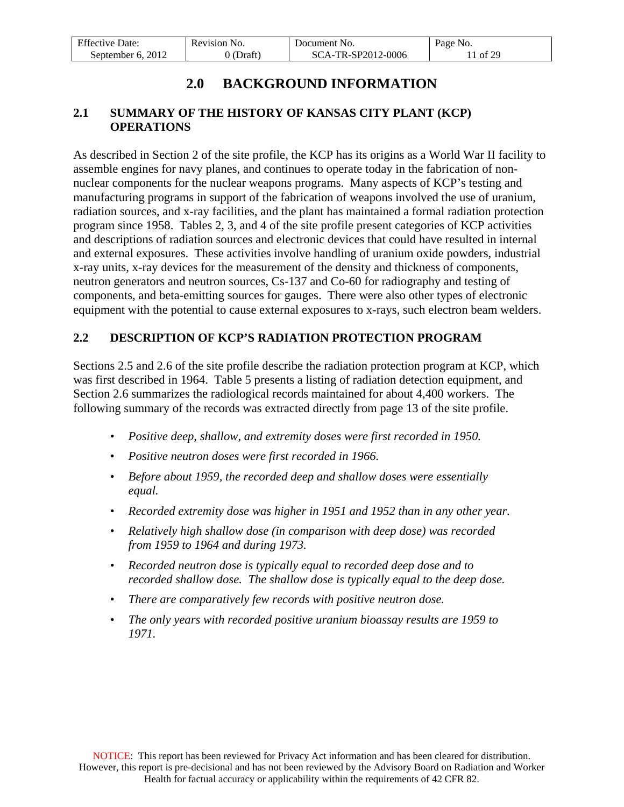| <b>Effective Date:</b> | Revision No. | Document No.       | Page No. |
|------------------------|--------------|--------------------|----------|
| September 6, 2012      | 0 (Draft)    | SCA-TR-SP2012-0006 | 1 of 29  |

## **2.0 BACKGROUND INFORMATION**

### <span id="page-10-1"></span><span id="page-10-0"></span>**2.1 SUMMARY OF THE HISTORY OF KANSAS CITY PLANT (KCP) OPERATIONS**

As described in Section 2 of the site profile, the KCP has its origins as a World War II facility to assemble engines for navy planes, and continues to operate today in the fabrication of nonnuclear components for the nuclear weapons programs. Many aspects of KCP's testing and manufacturing programs in support of the fabrication of weapons involved the use of uranium, radiation sources, and x-ray facilities, and the plant has maintained a formal radiation protection program since 1958. Tables 2, 3, and 4 of the site profile present categories of KCP activities and descriptions of radiation sources and electronic devices that could have resulted in internal and external exposures. These activities involve handling of uranium oxide powders, industrial x-ray units, x-ray devices for the measurement of the density and thickness of components, neutron generators and neutron sources, Cs-137 and Co-60 for radiography and testing of components, and beta-emitting sources for gauges. There were also other types of electronic equipment with the potential to cause external exposures to x-rays, such electron beam welders.

#### <span id="page-10-2"></span>**2.2 DESCRIPTION OF KCP'S RADIATION PROTECTION PROGRAM**

Sections 2.5 and 2.6 of the site profile describe the radiation protection program at KCP, which was first described in 1964. Table 5 presents a listing of radiation detection equipment, and Section 2.6 summarizes the radiological records maintained for about 4,400 workers. The following summary of the records was extracted directly from page 13 of the site profile.

- *Positive deep, shallow, and extremity doses were first recorded in 1950.*
- *Positive neutron doses were first recorded in 1966.*
- *Before about 1959, the recorded deep and shallow doses were essentially equal.*
- *Recorded extremity dose was higher in 1951 and 1952 than in any other year.*
- *Relatively high shallow dose (in comparison with deep dose) was recorded from 1959 to 1964 and during 1973.*
- *Recorded neutron dose is typically equal to recorded deep dose and to recorded shallow dose. The shallow dose is typically equal to the deep dose.*
- *There are comparatively few records with positive neutron dose.*
- *The only years with recorded positive uranium bioassay results are 1959 to 1971.*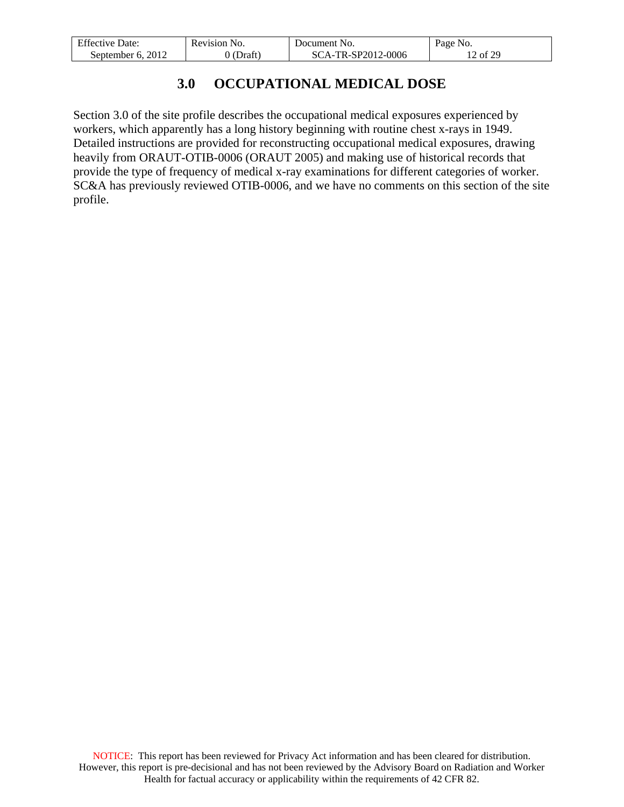| <b>Effective Date:</b> | Revision No. | Document No.       | Page No.  |
|------------------------|--------------|--------------------|-----------|
| September 6, 2012      | $0$ (Draft)  | SCA-TR-SP2012-0006 | $2$ of 29 |

## **3.0 OCCUPATIONAL MEDICAL DOSE**

<span id="page-11-0"></span>Section 3.0 of the site profile describes the occupational medical exposures experienced by workers, which apparently has a long history beginning with routine chest x-rays in 1949. Detailed instructions are provided for reconstructing occupational medical exposures, drawing heavily from ORAUT-OTIB-0006 (ORAUT 2005) and making use of historical records that provide the type of frequency of medical x-ray examinations for different categories of worker. SC&A has previously reviewed OTIB-0006, and we have no comments on this section of the site profile.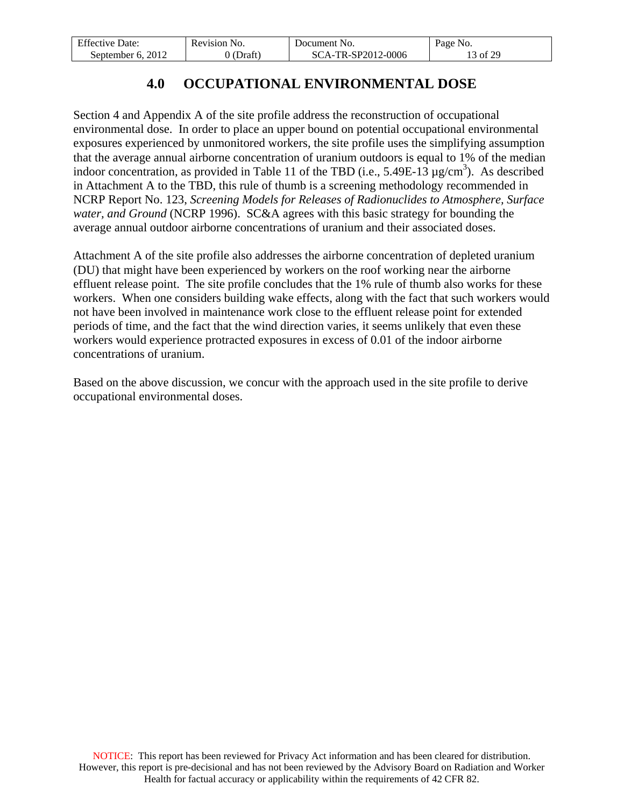| <b>Effective Date:</b> | Revision No. | Document No.       | Page No. |
|------------------------|--------------|--------------------|----------|
| September 6, 2012      | 0 (Draft)    | SCA-TR-SP2012-0006 | 13 of 29 |

## **4.0 OCCUPATIONAL ENVIRONMENTAL DOSE**

<span id="page-12-0"></span>Section 4 and Appendix A of the site profile address the reconstruction of occupational environmental dose. In order to place an upper bound on potential occupational environmental exposures experienced by unmonitored workers, the site profile uses the simplifying assumption that the average annual airborne concentration of uranium outdoors is equal to 1% of the median indoor concentration, as provided in Table 11 of the TBD (i.e.,  $5.49E-13 \mu g/cm^3$ ). As described in Attachment A to the TBD, this rule of thumb is a screening methodology recommended in NCRP Report No. 123, *Screening Models for Releases of Radionuclides to Atmosphere, Surface water, and Ground* (NCRP 1996). SC&A agrees with this basic strategy for bounding the average annual outdoor airborne concentrations of uranium and their associated doses.

Attachment A of the site profile also addresses the airborne concentration of depleted uranium (DU) that might have been experienced by workers on the roof working near the airborne effluent release point. The site profile concludes that the 1% rule of thumb also works for these workers. When one considers building wake effects, along with the fact that such workers would not have been involved in maintenance work close to the effluent release point for extended periods of time, and the fact that the wind direction varies, it seems unlikely that even these workers would experience protracted exposures in excess of 0.01 of the indoor airborne concentrations of uranium.

Based on the above discussion, we concur with the approach used in the site profile to derive occupational environmental doses.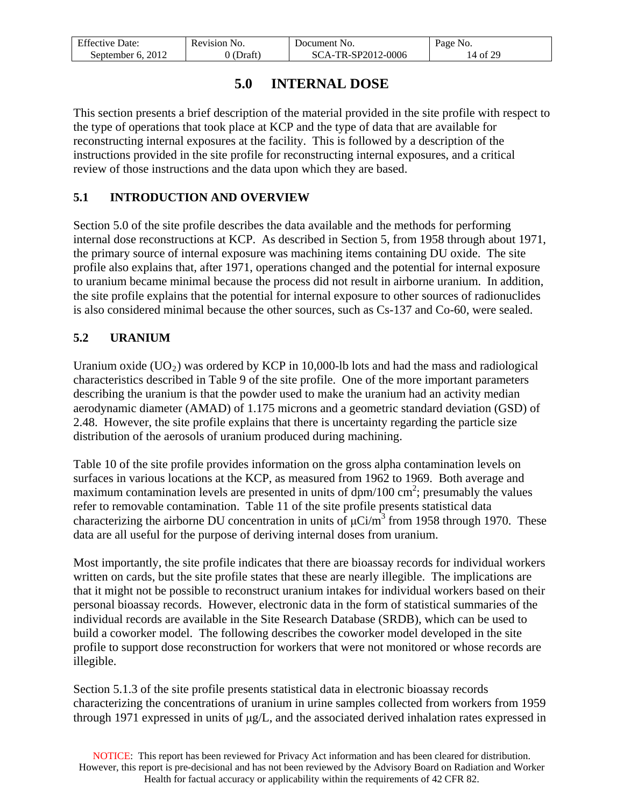| <b>Effective Date:</b> | Revision No. | Document No.       | Page No. |
|------------------------|--------------|--------------------|----------|
| September 6, 2012      | Draft)       | SCA-TR-SP2012-0006 | 14 of 29 |

## **5.0 INTERNAL DOSE**

<span id="page-13-0"></span>This section presents a brief description of the material provided in the site profile with respect to the type of operations that took place at KCP and the type of data that are available for reconstructing internal exposures at the facility. This is followed by a description of the instructions provided in the site profile for reconstructing internal exposures, and a critical review of those instructions and the data upon which they are based.

### <span id="page-13-1"></span>**5.1 INTRODUCTION AND OVERVIEW**

Section 5.0 of the site profile describes the data available and the methods for performing internal dose reconstructions at KCP. As described in Section 5, from 1958 through about 1971, the primary source of internal exposure was machining items containing DU oxide. The site profile also explains that, after 1971, operations changed and the potential for internal exposure to uranium became minimal because the process did not result in airborne uranium. In addition, the site profile explains that the potential for internal exposure to other sources of radionuclides is also considered minimal because the other sources, such as Cs-137 and Co-60, were sealed.

### <span id="page-13-2"></span>**5.2 URANIUM**

Uranium oxide (UO<sub>2</sub>) was ordered by KCP in 10,000-lb lots and had the mass and radiological characteristics described in Table 9 of the site profile. One of the more important parameters describing the uranium is that the powder used to make the uranium had an activity median aerodynamic diameter (AMAD) of 1.175 microns and a geometric standard deviation (GSD) of 2.48. However, the site profile explains that there is uncertainty regarding the particle size distribution of the aerosols of uranium produced during machining.

Table 10 of the site profile provides information on the gross alpha contamination levels on surfaces in various locations at the KCP, as measured from 1962 to 1969. Both average and maximum contamination levels are presented in units of  $dpm/100$  cm<sup>2</sup>; presumably the values refer to removable contamination. Table 11 of the site profile presents statistical data characterizing the airborne DU concentration in units of  $\mu$ Ci/m<sup>3</sup> from 1958 through 1970. These data are all useful for the purpose of deriving internal doses from uranium.

Most importantly, the site profile indicates that there are bioassay records for individual workers written on cards, but the site profile states that these are nearly illegible. The implications are that it might not be possible to reconstruct uranium intakes for individual workers based on their personal bioassay records. However, electronic data in the form of statistical summaries of the individual records are available in the Site Research Database (SRDB), which can be used to build a coworker model. The following describes the coworker model developed in the site profile to support dose reconstruction for workers that were not monitored or whose records are illegible.

Section 5.1.3 of the site profile presents statistical data in electronic bioassay records characterizing the concentrations of uranium in urine samples collected from workers from 1959 through 1971 expressed in units of μg/L, and the associated derived inhalation rates expressed in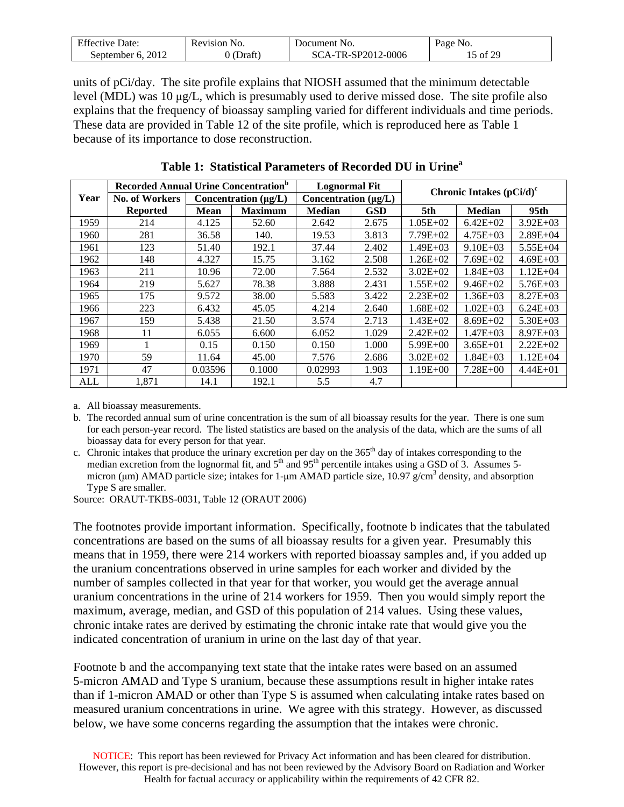| F C<br>Jate:<br>Effective. | Revision<br>N <sub>O</sub> | . Jocument<br>NO.                                 | Page<br>NO.      |
|----------------------------|----------------------------|---------------------------------------------------|------------------|
| 2012<br>September<br>'n    | Jraft                      | 2-0006<br>$\mathbb{R}P2012$ .<br>97<br>$\Delta$ - | $f \Omega$<br>0Ì |

units of pCi/day. The site profile explains that NIOSH assumed that the minimum detectable level (MDL) was 10 μg/L, which is presumably used to derive missed dose. The site profile also explains that the frequency of bioassay sampling varied for different individuals and time periods. These data are provided in Table 12 of the site profile, which is reproduced here as Table 1 because of its importance to dose reconstruction.

|      | <b>Recorded Annual Urine Concentration</b> <sup>b</sup> |             |                           | <b>Lognormal Fit</b>      |            | Chronic Intakes $(pCi/d)^c$ |               |                  |
|------|---------------------------------------------------------|-------------|---------------------------|---------------------------|------------|-----------------------------|---------------|------------------|
| Year | No. of Workers                                          |             | Concentration $(\mu g/L)$ | Concentration $(\mu g/L)$ |            |                             |               |                  |
|      | <b>Reported</b>                                         | <b>Mean</b> | <b>Maximum</b>            | <b>Median</b>             | <b>GSD</b> | 5th                         | <b>Median</b> | 95 <sub>th</sub> |
| 1959 | 214                                                     | 4.125       | 52.60                     | 2.642                     | 2.675      | $1.05E + 02$                | $6.42E+02$    | $3.92E + 03$     |
| 1960 | 281                                                     | 36.58       | 140.                      | 19.53                     | 3.813      | 7.79E+02                    | $4.75E + 03$  | $2.89E + 04$     |
| 1961 | 123                                                     | 51.40       | 192.1                     | 37.44                     | 2.402      | $1.49E + 03$                | $9.10E + 03$  | $5.55E+04$       |
| 1962 | 148                                                     | 4.327       | 15.75                     | 3.162                     | 2.508      | $1.26E + 02$                | $7.69E+02$    | $4.69E + 03$     |
| 1963 | 211                                                     | 10.96       | 72.00                     | 7.564                     | 2.532      | $3.02E + 02$                | $1.84E + 03$  | $1.12E + 04$     |
| 1964 | 219                                                     | 5.627       | 78.38                     | 3.888                     | 2.431      | $1.55E+02$                  | $9.46E + 02$  | $5.76E + 03$     |
| 1965 | 175                                                     | 9.572       | 38.00                     | 5.583                     | 3.422      | $2.23E+02$                  | $1.36E + 03$  | $8.27E + 03$     |
| 1966 | 223                                                     | 6.432       | 45.05                     | 4.214                     | 2.640      | $1.68E + 02$                | $1.02E + 03$  | $6.24E + 03$     |
| 1967 | 159                                                     | 5.438       | 21.50                     | 3.574                     | 2.713      | $1.43E+02$                  | $8.69E + 02$  | $5.30E + 03$     |
| 1968 | 11                                                      | 6.055       | 6.600                     | 6.052                     | 1.029      | $2.42E + 02$                | $1.47E + 03$  | $8.97E + 03$     |
| 1969 |                                                         | 0.15        | 0.150                     | 0.150                     | 1.000      | $5.99E + 00$                | $3.65E + 01$  | $2.22E+02$       |
| 1970 | 59                                                      | 11.64       | 45.00                     | 7.576                     | 2.686      | $3.02E + 02$                | $1.84E + 03$  | $1.12E + 04$     |
| 1971 | 47                                                      | 0.03596     | 0.1000                    | 0.02993                   | 1.903      | $1.19E + 00$                | $7.28E + 00$  | $4.44E + 01$     |
| ALL  | 1.871                                                   | 14.1        | 192.1                     | 5.5                       | 4.7        |                             |               |                  |

**Table 1: Statistical Parameters of Recorded DU in Urinea**

a. All bioassay measurements.

b. The recorded annual sum of urine concentration is the sum of all bioassay results for the year. There is one sum for each person-year record. The listed statistics are based on the analysis of the data, which are the sums of all bioassay data for every person for that year.

c. Chronic intakes that produce the urinary excretion per day on the 365<sup>th</sup> day of intakes corresponding to the median excretion from the lognormal fit, and  $5<sup>th</sup>$  and  $95<sup>th</sup>$  percentile intakes using a GSD of 3. Assumes 5micron ( $\mu$ m) AMAD particle size; intakes for 1- $\mu$ m AMAD particle size, 10.97 g/cm<sup>3</sup> density, and absorption Type S are smaller.

Source: ORAUT-TKBS-0031, Table 12 (ORAUT 2006)

The footnotes provide important information. Specifically, footnote b indicates that the tabulated concentrations are based on the sums of all bioassay results for a given year. Presumably this means that in 1959, there were 214 workers with reported bioassay samples and, if you added up the uranium concentrations observed in urine samples for each worker and divided by the number of samples collected in that year for that worker, you would get the average annual uranium concentrations in the urine of 214 workers for 1959. Then you would simply report the maximum, average, median, and GSD of this population of 214 values. Using these values, chronic intake rates are derived by estimating the chronic intake rate that would give you the indicated concentration of uranium in urine on the last day of that year.

Footnote b and the accompanying text state that the intake rates were based on an assumed 5-micron AMAD and Type S uranium, because these assumptions result in higher intake rates than if 1-micron AMAD or other than Type S is assumed when calculating intake rates based on measured uranium concentrations in urine. We agree with this strategy. However, as discussed below, we have some concerns regarding the assumption that the intakes were chronic.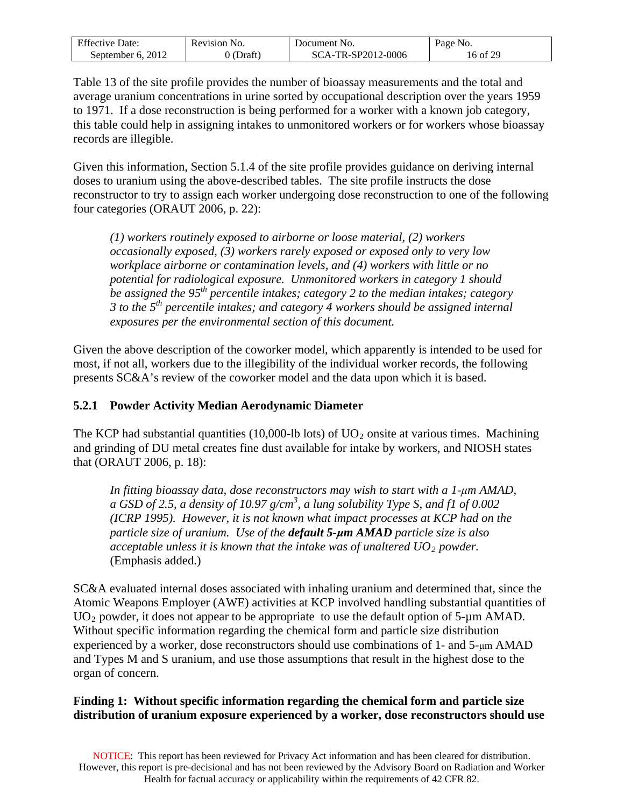| F C<br>Jate <sup>.</sup><br>. | Revision<br>N <sub>O</sub> | Jocument<br>N <sub>O</sub><br>. | $\overline{\phantom{a}}$<br>'NO. |
|-------------------------------|----------------------------|---------------------------------|----------------------------------|
| 2012<br>sentember<br>h        | $\sim$<br>$1 + 0 +$        | $-0006$<br>201.<br>SC.<br>.     | $\gamma$ C<br>, ot               |

Table 13 of the site profile provides the number of bioassay measurements and the total and average uranium concentrations in urine sorted by occupational description over the years 1959 to 1971. If a dose reconstruction is being performed for a worker with a known job category, this table could help in assigning intakes to unmonitored workers or for workers whose bioassay records are illegible.

Given this information, Section 5.1.4 of the site profile provides guidance on deriving internal doses to uranium using the above-described tables. The site profile instructs the dose reconstructor to try to assign each worker undergoing dose reconstruction to one of the following four categories (ORAUT 2006, p. 22):

*(1) workers routinely exposed to airborne or loose material, (2) workers occasionally exposed, (3) workers rarely exposed or exposed only to very low workplace airborne or contamination levels, and (4) workers with little or no potential for radiological exposure. Unmonitored workers in category 1 should be assigned the 95th percentile intakes; category 2 to the median intakes; category 3 to the 5th percentile intakes; and category 4 workers should be assigned internal exposures per the environmental section of this document.* 

Given the above description of the coworker model, which apparently is intended to be used for most, if not all, workers due to the illegibility of the individual worker records, the following presents SC&A's review of the coworker model and the data upon which it is based.

#### <span id="page-15-0"></span>**5.2.1 Powder Activity Median Aerodynamic Diameter**

The KCP had substantial quantities (10,000-lb lots) of  $UO<sub>2</sub>$  onsite at various times. Machining and grinding of DU metal creates fine dust available for intake by workers, and NIOSH states that (ORAUT 2006, p. 18):

*In fitting bioassay data, dose reconstructors may wish to start with a 1-μm AMAD, a GSD of 2.5, a density of 10.97 g/cm<sup>3</sup> , a lung solubility Type S, and f1 of 0.002 (ICRP 1995). However, it is not known what impact processes at KCP had on the particle size of uranium. Use of the default 5-μm AMAD particle size is also acceptable unless it is known that the intake was of unaltered UO2 powder.* (Emphasis added.)

SC&A evaluated internal doses associated with inhaling uranium and determined that, since the Atomic Weapons Employer (AWE) activities at KCP involved handling substantial quantities of  $UO<sub>2</sub>$  powder, it does not appear to be appropriate to use the default option of 5-µm AMAD. Without specific information regarding the chemical form and particle size distribution experienced by a worker, dose reconstructors should use combinations of 1- and 5-μm AMAD and Types M and S uranium, and use those assumptions that result in the highest dose to the organ of concern.

#### **Finding 1: Without specific information regarding the chemical form and particle size distribution of uranium exposure experienced by a worker, dose reconstructors should use**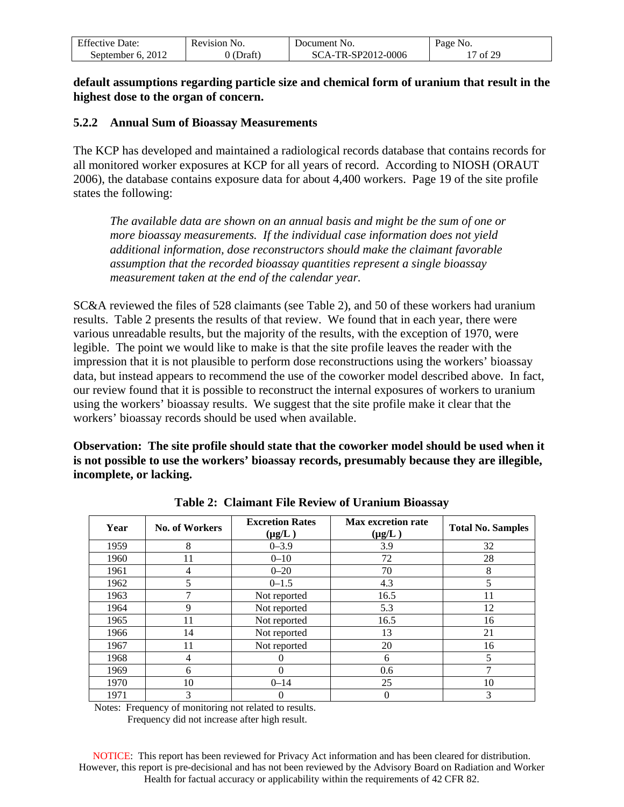| <b>Effective Date:</b> | Revision No. | Document No.       | Page No. |
|------------------------|--------------|--------------------|----------|
| September 6, 2012      | 0 (Draft`    | SCA-TR-SP2012-0006 | '7 of 29 |

**default assumptions regarding particle size and chemical form of uranium that result in the highest dose to the organ of concern.** 

#### <span id="page-16-0"></span>**5.2.2 Annual Sum of Bioassay Measurements**

The KCP has developed and maintained a radiological records database that contains records for all monitored worker exposures at KCP for all years of record. According to NIOSH (ORAUT 2006), the database contains exposure data for about 4,400 workers. Page 19 of the site profile states the following:

*The available data are shown on an annual basis and might be the sum of one or more bioassay measurements. If the individual case information does not yield additional information, dose reconstructors should make the claimant favorable assumption that the recorded bioassay quantities represent a single bioassay measurement taken at the end of the calendar year.* 

SC&A reviewed the files of 528 claimants (see Table 2), and 50 of these workers had uranium results. Table 2 presents the results of that review. We found that in each year, there were various unreadable results, but the majority of the results, with the exception of 1970, were legible. The point we would like to make is that the site profile leaves the reader with the impression that it is not plausible to perform dose reconstructions using the workers' bioassay data, but instead appears to recommend the use of the coworker model described above. In fact, our review found that it is possible to reconstruct the internal exposures of workers to uranium using the workers' bioassay results. We suggest that the site profile make it clear that the workers' bioassay records should be used when available.

**Observation: The site profile should state that the coworker model should be used when it is not possible to use the workers' bioassay records, presumably because they are illegible, incomplete, or lacking.** 

| Year | <b>No. of Workers</b> | <b>Excretion Rates</b><br>$(\mu g/L)$ | Max excretion rate<br>$(\mu g/L)$ | <b>Total No. Samples</b> |
|------|-----------------------|---------------------------------------|-----------------------------------|--------------------------|
| 1959 | 8                     | $0 - 3.9$                             | 3.9                               | 32                       |
| 1960 | 11                    | $0 - 10$                              | 72                                | 28                       |
| 1961 | 4                     | $0 - 20$                              | 70                                | 8                        |
| 1962 | 5                     | $0 - 1.5$                             | 4.3                               | 5                        |
| 1963 | 7                     | Not reported                          | 16.5                              | 11                       |
| 1964 | 9                     | Not reported                          | 5.3                               | 12                       |
| 1965 | 11                    | Not reported                          | 16.5                              | 16                       |
| 1966 | 14                    | Not reported                          | 13                                | 21                       |
| 1967 | 11                    | Not reported                          | 20                                | 16                       |
| 1968 | $\overline{4}$        | 0                                     | 6                                 | 5                        |
| 1969 | 6                     | 0                                     | 0.6                               |                          |
| 1970 | 10                    | $0 - 14$                              | 25                                | 10                       |
| 1971 | 3                     | 0                                     | $\Omega$                          | 3                        |

**Table 2: Claimant File Review of Uranium Bioassay** 

Notes: Frequency of monitoring not related to results.

Frequency did not increase after high result.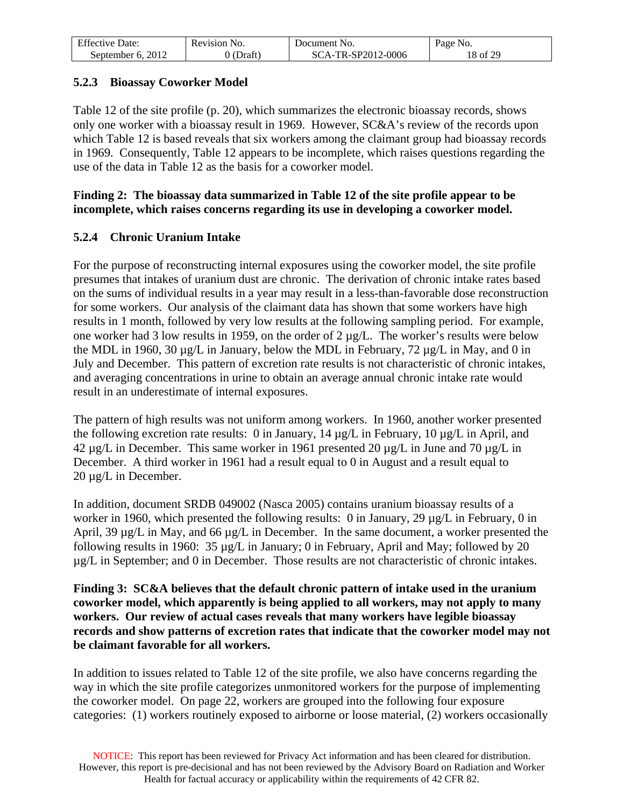| <b>Effective Date:</b> | Revision No. | Document No.       | Page No. |
|------------------------|--------------|--------------------|----------|
| September 6, 2012      | Draft)       | SCA-TR-SP2012-0006 | 18 of 29 |

#### <span id="page-17-0"></span>**5.2.3 Bioassay Coworker Model**

Table 12 of the site profile (p. 20), which summarizes the electronic bioassay records, shows only one worker with a bioassay result in 1969. However, SC&A's review of the records upon which Table 12 is based reveals that six workers among the claimant group had bioassay records in 1969. Consequently, Table 12 appears to be incomplete, which raises questions regarding the use of the data in Table 12 as the basis for a coworker model.

#### **Finding 2: The bioassay data summarized in Table 12 of the site profile appear to be incomplete, which raises concerns regarding its use in developing a coworker model.**

### <span id="page-17-1"></span>**5.2.4 Chronic Uranium Intake**

For the purpose of reconstructing internal exposures using the coworker model, the site profile presumes that intakes of uranium dust are chronic. The derivation of chronic intake rates based on the sums of individual results in a year may result in a less-than-favorable dose reconstruction for some workers. Our analysis of the claimant data has shown that some workers have high results in 1 month, followed by very low results at the following sampling period. For example, one worker had 3 low results in 1959, on the order of 2 µg/L. The worker's results were below the MDL in 1960, 30  $\mu$ g/L in January, below the MDL in February, 72  $\mu$ g/L in May, and 0 in July and December. This pattern of excretion rate results is not characteristic of chronic intakes, and averaging concentrations in urine to obtain an average annual chronic intake rate would result in an underestimate of internal exposures.

The pattern of high results was not uniform among workers. In 1960, another worker presented the following excretion rate results: 0 in January,  $14 \mu g/L$  in February,  $10 \mu g/L$  in April, and  $42 \mu g/L$  in December. This same worker in 1961 presented 20  $\mu g/L$  in June and 70  $\mu g/L$  in December. A third worker in 1961 had a result equal to 0 in August and a result equal to 20 µg/L in December.

In addition, document SRDB 049002 (Nasca 2005) contains uranium bioassay results of a worker in 1960, which presented the following results: 0 in January, 29  $\mu$ g/L in February, 0 in April, 39  $\mu$ g/L in May, and 66  $\mu$ g/L in December. In the same document, a worker presented the following results in 1960: 35 µg/L in January; 0 in February, April and May; followed by 20 µg/L in September; and 0 in December. Those results are not characteristic of chronic intakes.

**Finding 3: SC&A believes that the default chronic pattern of intake used in the uranium coworker model, which apparently is being applied to all workers, may not apply to many workers. Our review of actual cases reveals that many workers have legible bioassay records and show patterns of excretion rates that indicate that the coworker model may not be claimant favorable for all workers.** 

In addition to issues related to Table 12 of the site profile, we also have concerns regarding the way in which the site profile categorizes unmonitored workers for the purpose of implementing the coworker model. On page 22, workers are grouped into the following four exposure categories: (1) workers routinely exposed to airborne or loose material, (2) workers occasionally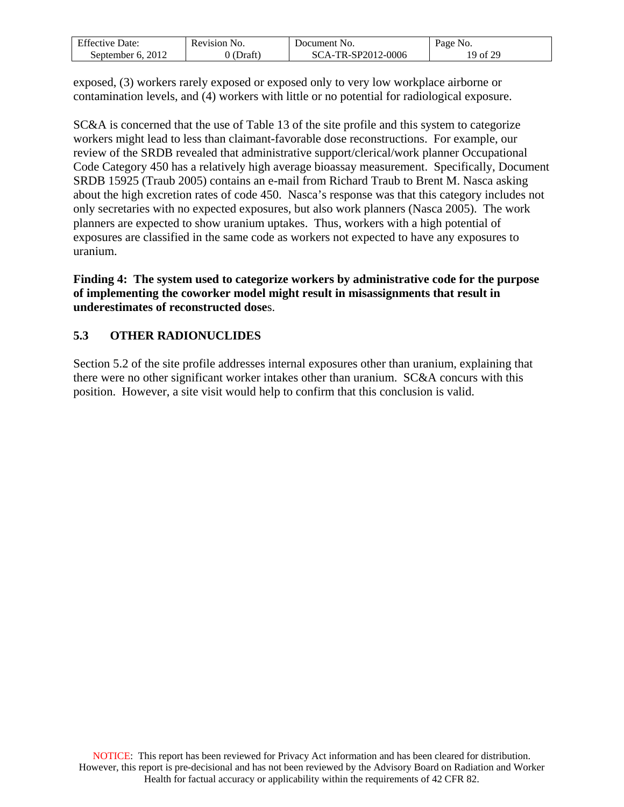| <b>Effective Date:</b> | Revision No. | Document No.       | Page No. |
|------------------------|--------------|--------------------|----------|
| September 6, 2012      | 0 (Draft)    | SCA-TR-SP2012-0006 | 19 of 29 |

exposed, (3) workers rarely exposed or exposed only to very low workplace airborne or contamination levels, and (4) workers with little or no potential for radiological exposure.

SC&A is concerned that the use of Table 13 of the site profile and this system to categorize workers might lead to less than claimant-favorable dose reconstructions. For example, our review of the SRDB revealed that administrative support/clerical/work planner Occupational Code Category 450 has a relatively high average bioassay measurement. Specifically, Document SRDB 15925 (Traub 2005) contains an e-mail from Richard Traub to Brent M. Nasca asking about the high excretion rates of code 450. Nasca's response was that this category includes not only secretaries with no expected exposures, but also work planners (Nasca 2005). The work planners are expected to show uranium uptakes. Thus, workers with a high potential of exposures are classified in the same code as workers not expected to have any exposures to uranium.

**Finding 4: The system used to categorize workers by administrative code for the purpose of implementing the coworker model might result in misassignments that result in underestimates of reconstructed dose**s.

## <span id="page-18-0"></span>**5.3 OTHER RADIONUCLIDES**

Section 5.2 of the site profile addresses internal exposures other than uranium, explaining that there were no other significant worker intakes other than uranium. SC&A concurs with this position. However, a site visit would help to confirm that this conclusion is valid.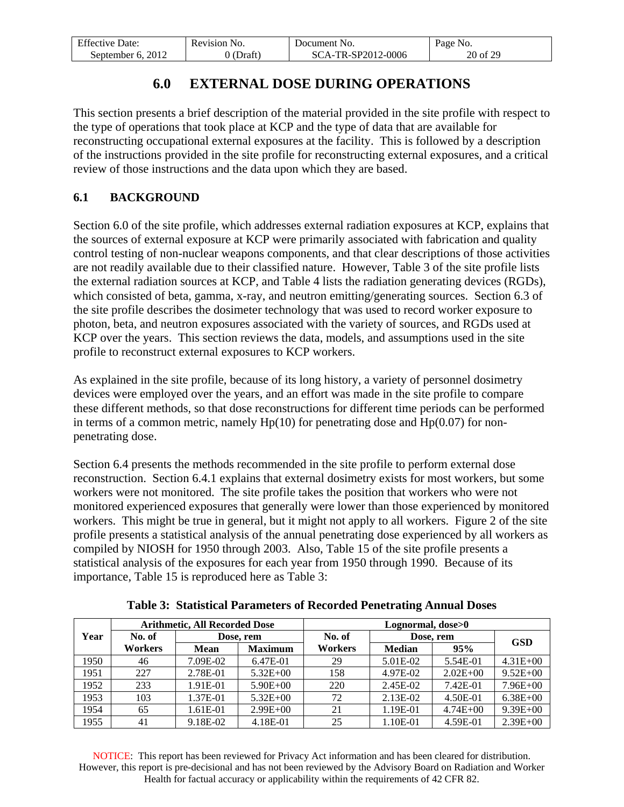| <b>Effective Date:</b> | Revision No. | Document No.       | Page No. |
|------------------------|--------------|--------------------|----------|
| September 6, 2012      | 0 (Draft)    | SCA-TR-SP2012-0006 | 20 of 29 |

## **6.0 EXTERNAL DOSE DURING OPERATIONS**

<span id="page-19-0"></span>This section presents a brief description of the material provided in the site profile with respect to the type of operations that took place at KCP and the type of data that are available for reconstructing occupational external exposures at the facility. This is followed by a description of the instructions provided in the site profile for reconstructing external exposures, and a critical review of those instructions and the data upon which they are based.

## <span id="page-19-1"></span>**6.1 BACKGROUND**

Section 6.0 of the site profile, which addresses external radiation exposures at KCP, explains that the sources of external exposure at KCP were primarily associated with fabrication and quality control testing of non-nuclear weapons components, and that clear descriptions of those activities are not readily available due to their classified nature. However, Table 3 of the site profile lists the external radiation sources at KCP, and Table 4 lists the radiation generating devices (RGDs), which consisted of beta, gamma, x-ray, and neutron emitting/generating sources. Section 6.3 of the site profile describes the dosimeter technology that was used to record worker exposure to photon, beta, and neutron exposures associated with the variety of sources, and RGDs used at KCP over the years. This section reviews the data, models, and assumptions used in the site profile to reconstruct external exposures to KCP workers.

As explained in the site profile, because of its long history, a variety of personnel dosimetry devices were employed over the years, and an effort was made in the site profile to compare these different methods, so that dose reconstructions for different time periods can be performed in terms of a common metric, namely  $Hp(10)$  for penetrating dose and  $Hp(0.07)$  for nonpenetrating dose.

Section 6.4 presents the methods recommended in the site profile to perform external dose reconstruction. Section 6.4.1 explains that external dosimetry exists for most workers, but some workers were not monitored. The site profile takes the position that workers who were not monitored experienced exposures that generally were lower than those experienced by monitored workers. This might be true in general, but it might not apply to all workers. Figure 2 of the site profile presents a statistical analysis of the annual penetrating dose experienced by all workers as compiled by NIOSH for 1950 through 2003. Also, Table 15 of the site profile presents a statistical analysis of the exposures for each year from 1950 through 1990. Because of its importance, Table 15 is reproduced here as Table 3:

**Table 3: Statistical Parameters of Recorded Penetrating Annual Doses** 

|      | <b>Arithmetic, All Recorded Dose</b> |             |                | Lognormal, dose>0 |               |              |              |
|------|--------------------------------------|-------------|----------------|-------------------|---------------|--------------|--------------|
| Year | No. of                               |             | Dose, rem      | No. of            |               | Dose, rem    | <b>GSD</b>   |
|      | Workers                              | <b>Mean</b> | <b>Maximum</b> | <b>Workers</b>    | <b>Median</b> | 95%          |              |
| 1950 | 46                                   | 7.09E-02    | 6.47E-01       | 29                | 5.01E-02      | 5.54E-01     | $4.31E + 00$ |
| 1951 | 227                                  | 2.78E-01    | $5.32E + 00$   | 158               | 4.97E-02      | $2.02E + 00$ | $9.52E + 00$ |
| 1952 | 233                                  | 1.91E-01    | $5.90E + 00$   | 220               | 2.45E-02      | $7.42E-01$   | $7.96E + 00$ |
| 1953 | 103                                  | 1.37E-01    | $5.32E + 00$   | 72                | 2.13E-02      | 4.50E-01     | $6.38E + 00$ |
| 1954 | 65                                   | 1.61E-01    | $2.99E+00$     | 21                | 1.19E-01      | $4.74E + 00$ | $9.39E + 00$ |
| 1955 | 41                                   | 9.18E-02    | 4.18E-01       | 25                | 1.10E-01      | 4.59E-01     | $2.39E + 00$ |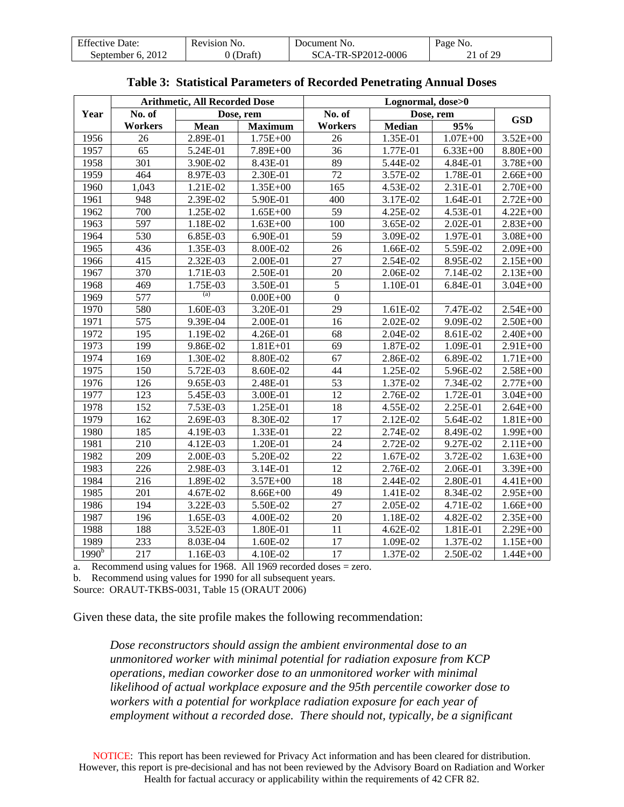| <b>Effective Date:</b> | Revision No. | Document No.       | Page No. |
|------------------------|--------------|--------------------|----------|
| September 6, 2012      | 0 (Draft)    | SCA-TR-SP2012-0006 | 21 of 29 |

|                   | <b>Arithmetic, All Recorded Dose</b> |             | Lognormal, dose>0 |                 |               |              |              |
|-------------------|--------------------------------------|-------------|-------------------|-----------------|---------------|--------------|--------------|
| Year              | No. of                               |             | Dose, rem         | No. of          |               | Dose, rem    | <b>GSD</b>   |
|                   | <b>Workers</b>                       | <b>Mean</b> | <b>Maximum</b>    | Workers         | <b>Median</b> | 95%          |              |
| 1956              | 26                                   | 2.89E-01    | $1.75E + 00$      | 26              | 1.35E-01      | $1.07E + 00$ | $3.52E + 00$ |
| 1957              | $\overline{65}$                      | 5.24E-01    | 7.89E+00          | $\overline{36}$ | 1.77E-01      | $6.33E + 00$ | $8.80E + 00$ |
| 1958              | 301                                  | 3.90E-02    | 8.43E-01          | 89              | 5.44E-02      | 4.84E-01     | $3.78E + 00$ |
| 1959              | 464                                  | 8.97E-03    | 2.30E-01          | $\overline{72}$ | 3.57E-02      | $1.78E-01$   | $2.66E + 00$ |
| 1960              | 1,043                                | 1.21E-02    | $1.35E + 00$      | 165             | 4.53E-02      | 2.31E-01     | $2.70E + 00$ |
| 1961              | 948                                  | 2.39E-02    | 5.90E-01          | 400             | 3.17E-02      | 1.64E-01     | $2.72E + 00$ |
| 1962              | 700                                  | 1.25E-02    | $1.65E + 00$      | 59              | 4.25E-02      | 4.53E-01     | $4.22E + 00$ |
| 1963              | 597                                  | 1.18E-02    | $1.63E + 00$      | 100             | 3.65E-02      | 2.02E-01     | $2.83E + 00$ |
| 1964              | 530                                  | 6.85E-03    | 6.90E-01          | 59              | 3.09E-02      | 1.97E-01     | $3.08E + 00$ |
| 1965              | 436                                  | 1.35E-03    | 8.00E-02          | 26              | 1.66E-02      | 5.59E-02     | $2.09E + 00$ |
| 1966              | 415                                  | 2.32E-03    | 2.00E-01          | 27              | 2.54E-02      | 8.95E-02     | $2.15E+00$   |
| 1967              | 370                                  | 1.71E-03    | $2.50E-01$        | 20              | 2.06E-02      | 7.14E-02     | $2.13E + 00$ |
| 1968              | 469                                  | 1.75E-03    | 3.50E-01          | 5               | 1.10E-01      | 6.84E-01     | $3.04E + 00$ |
| 1969              | 577                                  | (a)         | $0.00E + 00$      | $\overline{0}$  |               |              |              |
| 1970              | 580                                  | 1.60E-03    | 3.20E-01          | 29              | 1.61E-02      | 7.47E-02     | $2.54E + 00$ |
| 1971              | 575                                  | 9.39E-04    | 2.00E-01          | 16              | 2.02E-02      | 9.09E-02     | $2.50E + 00$ |
| 1972              | 195                                  | 1.19E-02    | 4.26E-01          | 68              | 2.04E-02      | 8.61E-02     | $2.40E + 00$ |
| 1973              | 199                                  | 9.86E-02    | $1.81E + 01$      | 69              | 1.87E-02      | 1.09E-01     | $2.91E+00$   |
| 1974              | 169                                  | 1.30E-02    | 8.80E-02          | 67              | 2.86E-02      | 6.89E-02     | $1.71E + 00$ |
| 1975              | 150                                  | 5.72E-03    | 8.60E-02          | 44              | 1.25E-02      | 5.96E-02     | $2.58E + 00$ |
| 1976              | 126                                  | 9.65E-03    | 2.48E-01          | $\overline{53}$ | 1.37E-02      | 7.34E-02     | $2.77E + 00$ |
| 1977              | 123                                  | 5.45E-03    | 3.00E-01          | 12              | 2.76E-02      | 1.72E-01     | $3.04E + 00$ |
| 1978              | 152                                  | 7.53E-03    | $1.25E-01$        | 18              | 4.55E-02      | 2.25E-01     | $2.64E + 00$ |
| 1979              | 162                                  | 2.69E-03    | 8.30E-02          | 17              | 2.12E-02      | 5.64E-02     | $1.81E + 00$ |
| 1980              | 185                                  | 4.19E-03    | 1.33E-01          | $\overline{22}$ | 2.74E-02      | 8.49E-02     | 1.99E+00     |
| 1981              | 210                                  | 4.12E-03    | 1.20E-01          | 24              | 2.72E-02      | 9.27E-02     | $2.11E + 00$ |
| 1982              | 209                                  | 2.00E-03    | 5.20E-02          | 22              | 1.67E-02      | 3.72E-02     | $1.63E + 00$ |
| 1983              | 226                                  | 2.98E-03    | 3.14E-01          | 12              | 2.76E-02      | 2.06E-01     | 3.39E+00     |
| 1984              | 216                                  | 1.89E-02    | $3.57E + 00$      | 18              | 2.44E-02      | 2.80E-01     | $4.41E + 00$ |
| 1985              | 201                                  | 4.67E-02    | $8.66E + 00$      | 49              | 1.41E-02      | 8.34E-02     | 2.95E+00     |
| 1986              | 194                                  | 3.22E-03    | 5.50E-02          | 27              | 2.05E-02      | 4.71E-02     | $1.66E + 00$ |
| 1987              | 196                                  | 1.65E-03    | 4.00E-02          | 20              | 1.18E-02      | 4.82E-02     | $2.35E + 00$ |
| 1988              | 188                                  | 3.52E-03    | 1.80E-01          | 11              | 4.62E-02      | 1.81E-01     | $2.29E + 00$ |
| 1989              | 233                                  | 8.03E-04    | 1.60E-02          | 17              | 1.09E-02      | 1.37E-02     | $1.15E + 00$ |
| 1990 <sup>b</sup> | 217                                  | 1.16E-03    | 4.10E-02          | 17              | 1.37E-02      | 2.50E-02     | $1.44E + 00$ |

#### **Table 3: Statistical Parameters of Recorded Penetrating Annual Doses**

a. Recommend using values for 1968. All 1969 recorded doses = zero.

b. Recommend using values for 1990 for all subsequent years.

Source: ORAUT-TKBS-0031, Table 15 (ORAUT 2006)

Given these data, the site profile makes the following recommendation:

*Dose reconstructors should assign the ambient environmental dose to an unmonitored worker with minimal potential for radiation exposure from KCP operations, median coworker dose to an unmonitored worker with minimal likelihood of actual workplace exposure and the 95th percentile coworker dose to workers with a potential for workplace radiation exposure for each year of employment without a recorded dose. There should not, typically, be a significant*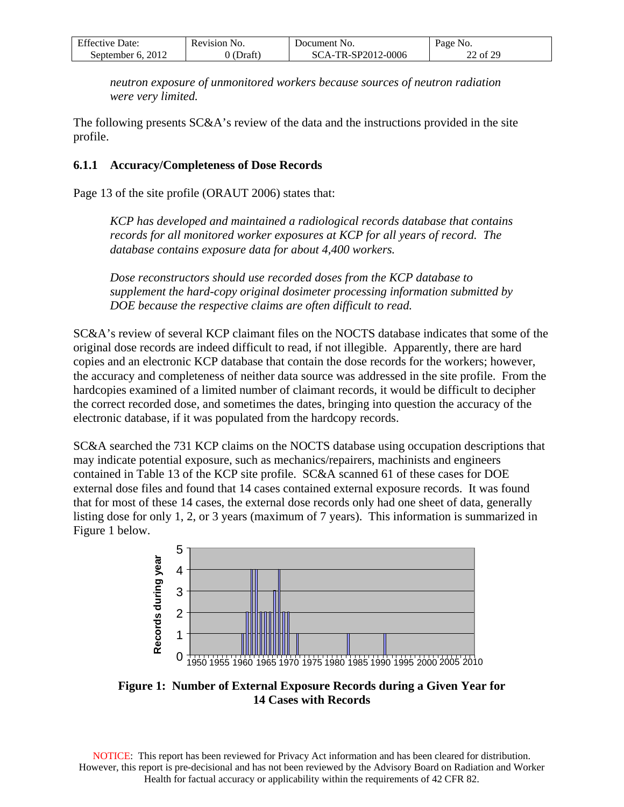| <b>Effective Date:</b>    | Revision | No.                                      | NO.        |
|---------------------------|----------|------------------------------------------|------------|
|                           | NO.      | Jocument                                 | Page       |
| 2012<br>September<br>. ი. | Jraft    | የ-SP2012-0006<br>TR.<br>ŠС<br>$\Delta$ - | £ ንዕ<br>Οt |

*neutron exposure of unmonitored workers because sources of neutron radiation were very limited.* 

The following presents SC&A's review of the data and the instructions provided in the site profile.

#### <span id="page-21-0"></span>**6.1.1 Accuracy/Completeness of Dose Records**

Page 13 of the site profile (ORAUT 2006) states that:

*KCP has developed and maintained a radiological records database that contains records for all monitored worker exposures at KCP for all years of record. The database contains exposure data for about 4,400 workers.* 

*Dose reconstructors should use recorded doses from the KCP database to supplement the hard-copy original dosimeter processing information submitted by DOE because the respective claims are often difficult to read.* 

SC&A's review of several KCP claimant files on the NOCTS database indicates that some of the original dose records are indeed difficult to read, if not illegible. Apparently, there are hard copies and an electronic KCP database that contain the dose records for the workers; however, the accuracy and completeness of neither data source was addressed in the site profile. From the hardcopies examined of a limited number of claimant records, it would be difficult to decipher the correct recorded dose, and sometimes the dates, bringing into question the accuracy of the electronic database, if it was populated from the hardcopy records.

SC&A searched the 731 KCP claims on the NOCTS database using occupation descriptions that may indicate potential exposure, such as mechanics/repairers, machinists and engineers contained in Table 13 of the KCP site profile. SC&A scanned 61 of these cases for DOE external dose files and found that 14 cases contained external exposure records. It was found that for most of these 14 cases, the external dose records only had one sheet of data, generally listing dose for only 1, 2, or 3 years (maximum of 7 years). This information is summarized in Figure 1 below.



**Figure 1: Number of External Exposure Records during a Given Year for 14 Cases with Records**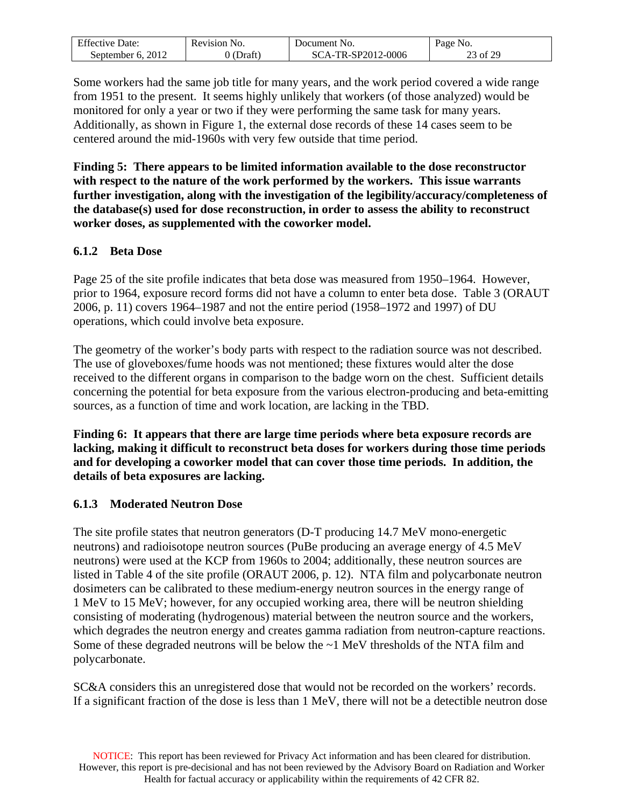| Effective Date:      | Revision No.   | Document No.       | Page No. |
|----------------------|----------------|--------------------|----------|
| 2012<br>September 6. | ا (ا<br>Draft) | SCA-TR-SP2012-0006 | 23 of 29 |

Some workers had the same job title for many years, and the work period covered a wide range from 1951 to the present. It seems highly unlikely that workers (of those analyzed) would be monitored for only a year or two if they were performing the same task for many years. Additionally, as shown in Figure 1, the external dose records of these 14 cases seem to be centered around the mid-1960s with very few outside that time period.

**Finding 5: There appears to be limited information available to the dose reconstructor with respect to the nature of the work performed by the workers. This issue warrants further investigation, along with the investigation of the legibility/accuracy/completeness of the database(s) used for dose reconstruction, in order to assess the ability to reconstruct worker doses, as supplemented with the coworker model.** 

#### <span id="page-22-0"></span>**6.1.2 Beta Dose**

Page 25 of the site profile indicates that beta dose was measured from 1950–1964. However, prior to 1964, exposure record forms did not have a column to enter beta dose. Table 3 (ORAUT 2006, p. 11) covers 1964–1987 and not the entire period (1958–1972 and 1997) of DU operations, which could involve beta exposure.

The geometry of the worker's body parts with respect to the radiation source was not described. The use of gloveboxes/fume hoods was not mentioned; these fixtures would alter the dose received to the different organs in comparison to the badge worn on the chest. Sufficient details concerning the potential for beta exposure from the various electron-producing and beta-emitting sources, as a function of time and work location, are lacking in the TBD.

**Finding 6: It appears that there are large time periods where beta exposure records are lacking, making it difficult to reconstruct beta doses for workers during those time periods and for developing a coworker model that can cover those time periods. In addition, the details of beta exposures are lacking.** 

#### <span id="page-22-1"></span>**6.1.3 Moderated Neutron Dose**

The site profile states that neutron generators (D-T producing 14.7 MeV mono-energetic neutrons) and radioisotope neutron sources (PuBe producing an average energy of 4.5 MeV neutrons) were used at the KCP from 1960s to 2004; additionally, these neutron sources are listed in Table 4 of the site profile (ORAUT 2006, p. 12). NTA film and polycarbonate neutron dosimeters can be calibrated to these medium-energy neutron sources in the energy range of 1 MeV to 15 MeV; however, for any occupied working area, there will be neutron shielding consisting of moderating (hydrogenous) material between the neutron source and the workers, which degrades the neutron energy and creates gamma radiation from neutron-capture reactions. Some of these degraded neutrons will be below the ~1 MeV thresholds of the NTA film and polycarbonate.

SC&A considers this an unregistered dose that would not be recorded on the workers' records. If a significant fraction of the dose is less than 1 MeV, there will not be a detectible neutron dose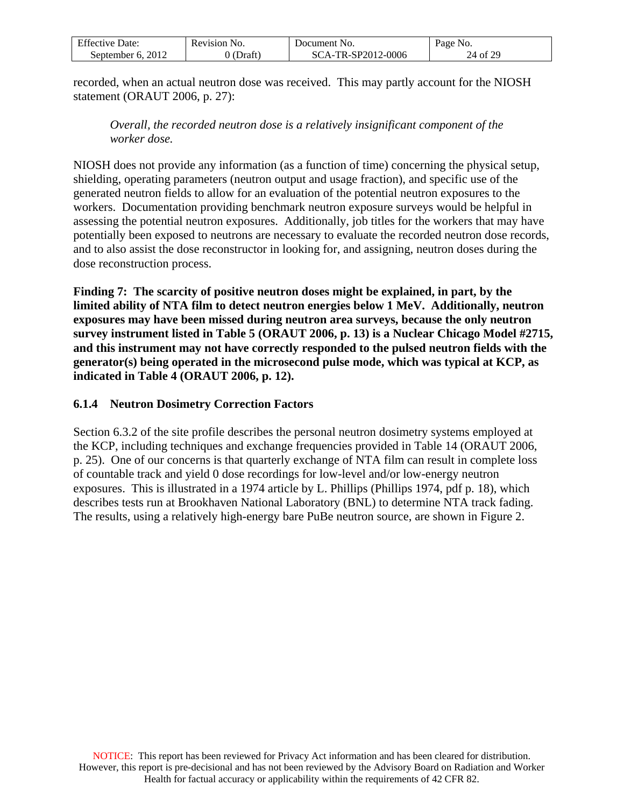| <b>Effective Date:</b> | Revision No. | Document No.       | Page No. |
|------------------------|--------------|--------------------|----------|
| 2012<br>September 6.   | Draft`       | SCA-TR-SP2012-0006 | 24 of 29 |

recorded, when an actual neutron dose was received. This may partly account for the NIOSH statement (ORAUT 2006, p. 27):

*Overall, the recorded neutron dose is a relatively insignificant component of the worker dose.* 

NIOSH does not provide any information (as a function of time) concerning the physical setup, shielding, operating parameters (neutron output and usage fraction), and specific use of the generated neutron fields to allow for an evaluation of the potential neutron exposures to the workers. Documentation providing benchmark neutron exposure surveys would be helpful in assessing the potential neutron exposures. Additionally, job titles for the workers that may have potentially been exposed to neutrons are necessary to evaluate the recorded neutron dose records, and to also assist the dose reconstructor in looking for, and assigning, neutron doses during the dose reconstruction process.

**Finding 7: The scarcity of positive neutron doses might be explained, in part, by the limited ability of NTA film to detect neutron energies below 1 MeV. Additionally, neutron exposures may have been missed during neutron area surveys, because the only neutron survey instrument listed in Table 5 (ORAUT 2006, p. 13) is a Nuclear Chicago Model #2715, and this instrument may not have correctly responded to the pulsed neutron fields with the generator(s) being operated in the microsecond pulse mode, which was typical at KCP, as indicated in Table 4 (ORAUT 2006, p. 12).** 

#### <span id="page-23-0"></span>**6.1.4 Neutron Dosimetry Correction Factors**

Section 6.3.2 of the site profile describes the personal neutron dosimetry systems employed at the KCP, including techniques and exchange frequencies provided in Table 14 (ORAUT 2006, p. 25). One of our concerns is that quarterly exchange of NTA film can result in complete loss of countable track and yield 0 dose recordings for low-level and/or low-energy neutron exposures. This is illustrated in a 1974 article by L. Phillips (Phillips 1974, pdf p. 18), which describes tests run at Brookhaven National Laboratory (BNL) to determine NTA track fading. The results, using a relatively high-energy bare PuBe neutron source, are shown in Figure 2.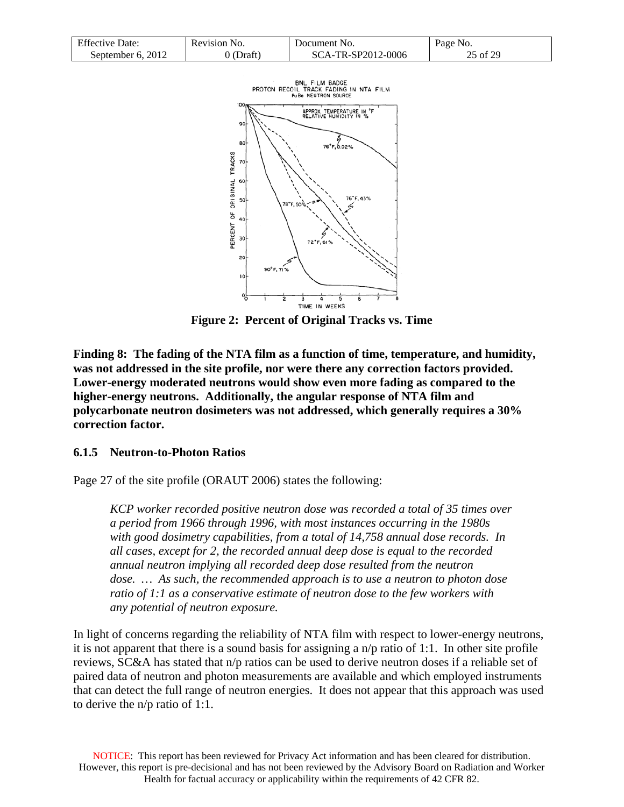| <b>Effective Date:</b> | Revision No. | Document No.       | Page No. |
|------------------------|--------------|--------------------|----------|
| September 6, 2012      | 0 (Draft)    | SCA-TR-SP2012-0006 | 25 of 29 |





**Figure 2: Percent of Original Tracks vs. Time** 

**Finding 8: The fading of the NTA film as a function of time, temperature, and humidity, was not addressed in the site profile, nor were there any correction factors provided. Lower-energy moderated neutrons would show even more fading as compared to the higher-energy neutrons. Additionally, the angular response of NTA film and polycarbonate neutron dosimeters was not addressed, which generally requires a 30% correction factor.** 

#### <span id="page-24-0"></span>**6.1.5 Neutron-to-Photon Ratios**

Page 27 of the site profile (ORAUT 2006) states the following:

*KCP worker recorded positive neutron dose was recorded a total of 35 times over a period from 1966 through 1996, with most instances occurring in the 1980s with good dosimetry capabilities, from a total of 14,758 annual dose records. In all cases, except for 2, the recorded annual deep dose is equal to the recorded annual neutron implying all recorded deep dose resulted from the neutron dose. … As such, the recommended approach is to use a neutron to photon dose ratio of 1:1 as a conservative estimate of neutron dose to the few workers with any potential of neutron exposure.* 

In light of concerns regarding the reliability of NTA film with respect to lower-energy neutrons, it is not apparent that there is a sound basis for assigning a n/p ratio of 1:1. In other site profile reviews, SC&A has stated that n/p ratios can be used to derive neutron doses if a reliable set of paired data of neutron and photon measurements are available and which employed instruments that can detect the full range of neutron energies. It does not appear that this approach was used to derive the n/p ratio of 1:1.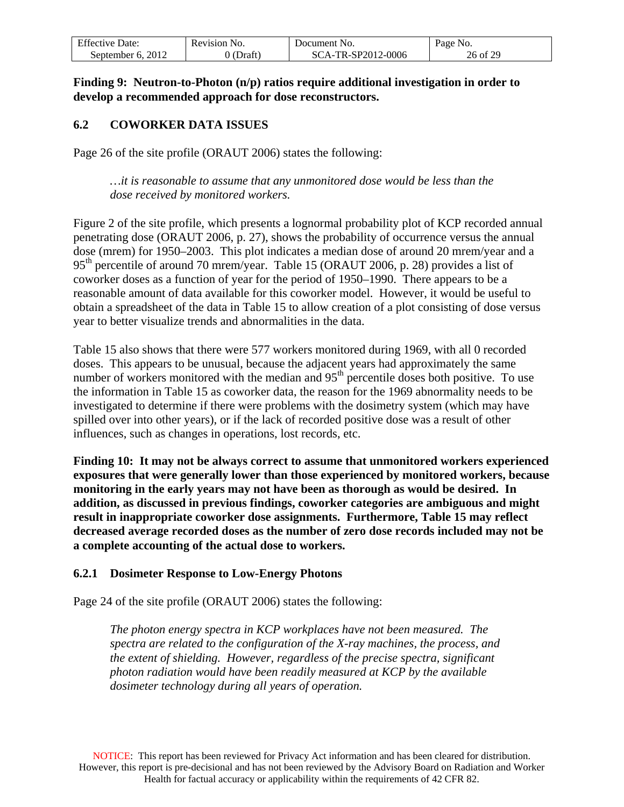| $E^{ac}$                  | Revision No. | Document                 | Page           |
|---------------------------|--------------|--------------------------|----------------|
| Effective Date:           |              | NO.                      | NO.            |
| 2012<br>September<br>՝ ი. | <b>Draft</b> | -TR-SP2012-0006<br>SCA-' | .f ንር<br>26 of |

#### **Finding 9: Neutron-to-Photon (n/p) ratios require additional investigation in order to develop a recommended approach for dose reconstructors.**

#### <span id="page-25-0"></span>**6.2 COWORKER DATA ISSUES**

Page 26 of the site profile (ORAUT 2006) states the following:

*…it is reasonable to assume that any unmonitored dose would be less than the dose received by monitored workers.* 

Figure 2 of the site profile, which presents a lognormal probability plot of KCP recorded annual penetrating dose (ORAUT 2006, p. 27), shows the probability of occurrence versus the annual dose (mrem) for 1950–2003. This plot indicates a median dose of around 20 mrem/year and a 95<sup>th</sup> percentile of around 70 mrem/year. Table 15 (ORAUT 2006, p. 28) provides a list of coworker doses as a function of year for the period of 1950–1990. There appears to be a reasonable amount of data available for this coworker model. However, it would be useful to obtain a spreadsheet of the data in Table 15 to allow creation of a plot consisting of dose versus year to better visualize trends and abnormalities in the data.

Table 15 also shows that there were 577 workers monitored during 1969, with all 0 recorded doses. This appears to be unusual, because the adjacent years had approximately the same number of workers monitored with the median and  $95<sup>th</sup>$  percentile doses both positive. To use the information in Table 15 as coworker data, the reason for the 1969 abnormality needs to be investigated to determine if there were problems with the dosimetry system (which may have spilled over into other years), or if the lack of recorded positive dose was a result of other influences, such as changes in operations, lost records, etc.

**Finding 10: It may not be always correct to assume that unmonitored workers experienced exposures that were generally lower than those experienced by monitored workers, because monitoring in the early years may not have been as thorough as would be desired. In addition, as discussed in previous findings, coworker categories are ambiguous and might result in inappropriate coworker dose assignments. Furthermore, Table 15 may reflect decreased average recorded doses as the number of zero dose records included may not be a complete accounting of the actual dose to workers.** 

#### <span id="page-25-1"></span>**6.2.1 Dosimeter Response to Low-Energy Photons**

Page 24 of the site profile (ORAUT 2006) states the following:

*The photon energy spectra in KCP workplaces have not been measured. The spectra are related to the configuration of the X-ray machines, the process, and the extent of shielding. However, regardless of the precise spectra, significant photon radiation would have been readily measured at KCP by the available dosimeter technology during all years of operation.*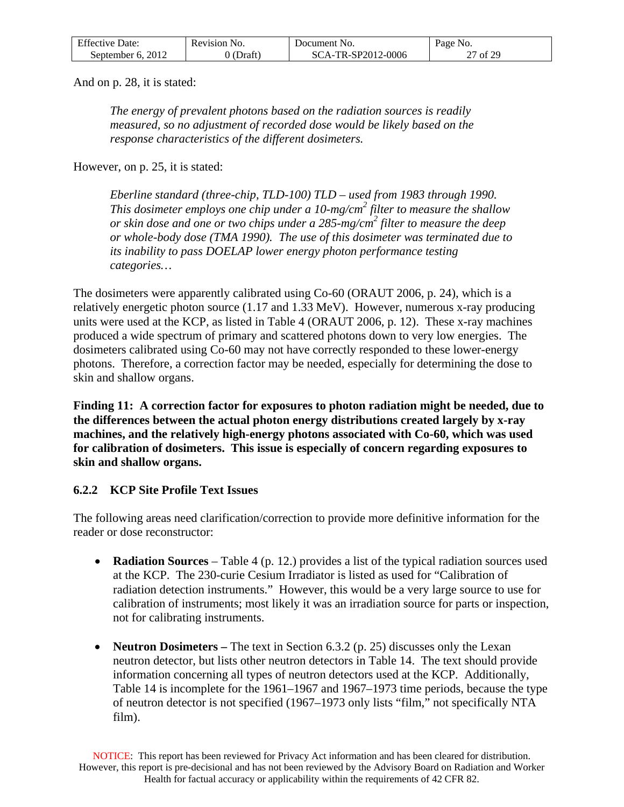| <b>Effective Date:</b> | Revision No. | Document No.       | Page No. |
|------------------------|--------------|--------------------|----------|
| September 6, 2012      | 'Draft       | SCA-TR-SP2012-0006 | 27 of 29 |

And on p. 28, it is stated:

*The energy of prevalent photons based on the radiation sources is readily measured, so no adjustment of recorded dose would be likely based on the response characteristics of the different dosimeters.* 

However, on p. 25, it is stated:

*Eberline standard (three-chip, TLD-100) TLD – used from 1983 through 1990. This dosimeter employs one chip under a 10-mg/cm2 filter to measure the shallow or skin dose and one or two chips under a 285-mg/cm2 filter to measure the deep or whole-body dose (TMA 1990). The use of this dosimeter was terminated due to its inability to pass DOELAP lower energy photon performance testing categories…* 

The dosimeters were apparently calibrated using Co-60 (ORAUT 2006, p. 24), which is a relatively energetic photon source (1.17 and 1.33 MeV). However, numerous x-ray producing units were used at the KCP, as listed in Table 4 (ORAUT 2006, p. 12). These x-ray machines produced a wide spectrum of primary and scattered photons down to very low energies. The dosimeters calibrated using Co-60 may not have correctly responded to these lower-energy photons. Therefore, a correction factor may be needed, especially for determining the dose to skin and shallow organs.

**Finding 11: A correction factor for exposures to photon radiation might be needed, due to the differences between the actual photon energy distributions created largely by x-ray machines, and the relatively high-energy photons associated with Co-60, which was used for calibration of dosimeters. This issue is especially of concern regarding exposures to skin and shallow organs.** 

#### <span id="page-26-0"></span>**6.2.2 KCP Site Profile Text Issues**

The following areas need clarification/correction to provide more definitive information for the reader or dose reconstructor:

- **Radiation Sources** Table 4 (p. 12.) provides a list of the typical radiation sources used at the KCP. The 230-curie Cesium Irradiator is listed as used for "Calibration of radiation detection instruments." However, this would be a very large source to use for calibration of instruments; most likely it was an irradiation source for parts or inspection, not for calibrating instruments.
- **Neutron Dosimeters** The text in Section 6.3.2 (p. 25) discusses only the Lexan neutron detector, but lists other neutron detectors in Table 14. The text should provide information concerning all types of neutron detectors used at the KCP. Additionally, Table 14 is incomplete for the 1961–1967 and 1967–1973 time periods, because the type of neutron detector is not specified (1967–1973 only lists "film," not specifically NTA film).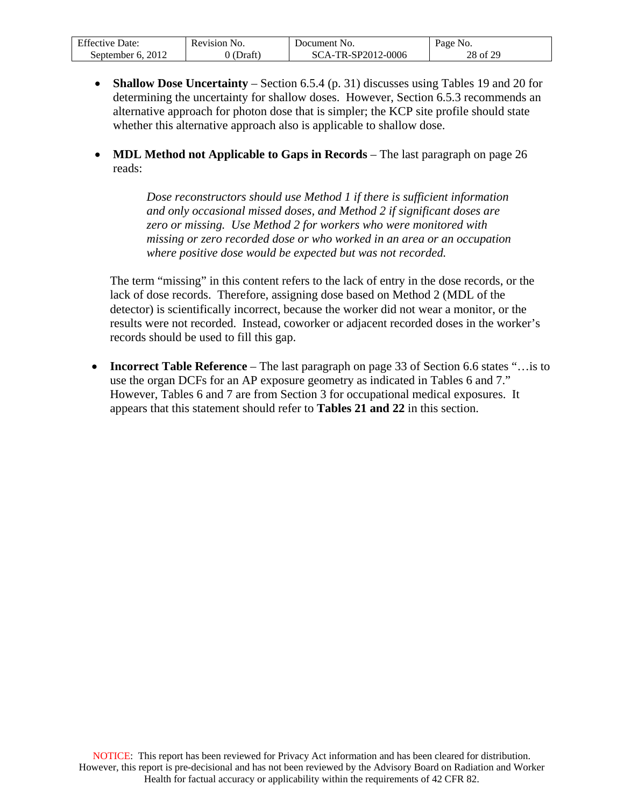| F C<br>Date:<br>Effective | NO.<br>Revision | Jocument<br>NO.              | Page<br>NO.         |
|---------------------------|-----------------|------------------------------|---------------------|
| 2012<br>September         | Jraft           | 2-0006<br>SP2012<br>TR.<br>Δ | $f \Omega$<br>28 of |

- **Shallow Dose Uncertainty** Section 6.5.4 (p. 31) discusses using Tables 19 and 20 for determining the uncertainty for shallow doses. However, Section 6.5.3 recommends an alternative approach for photon dose that is simpler; the KCP site profile should state whether this alternative approach also is applicable to shallow dose.
- **MDL Method not Applicable to Gaps in Records** The last paragraph on page 26 reads:

*Dose reconstructors should use Method 1 if there is sufficient information and only occasional missed doses, and Method 2 if significant doses are zero or missing. Use Method 2 for workers who were monitored with missing or zero recorded dose or who worked in an area or an occupation where positive dose would be expected but was not recorded.* 

The term "missing" in this content refers to the lack of entry in the dose records, or the lack of dose records. Therefore, assigning dose based on Method 2 (MDL of the detector) is scientifically incorrect, because the worker did not wear a monitor, or the results were not recorded. Instead, coworker or adjacent recorded doses in the worker's records should be used to fill this gap.

 **Incorrect Table Reference** – The last paragraph on page 33 of Section 6.6 states "…is to use the organ DCFs for an AP exposure geometry as indicated in Tables 6 and 7." However, Tables 6 and 7 are from Section 3 for occupational medical exposures. It appears that this statement should refer to **Tables 21 and 22** in this section.